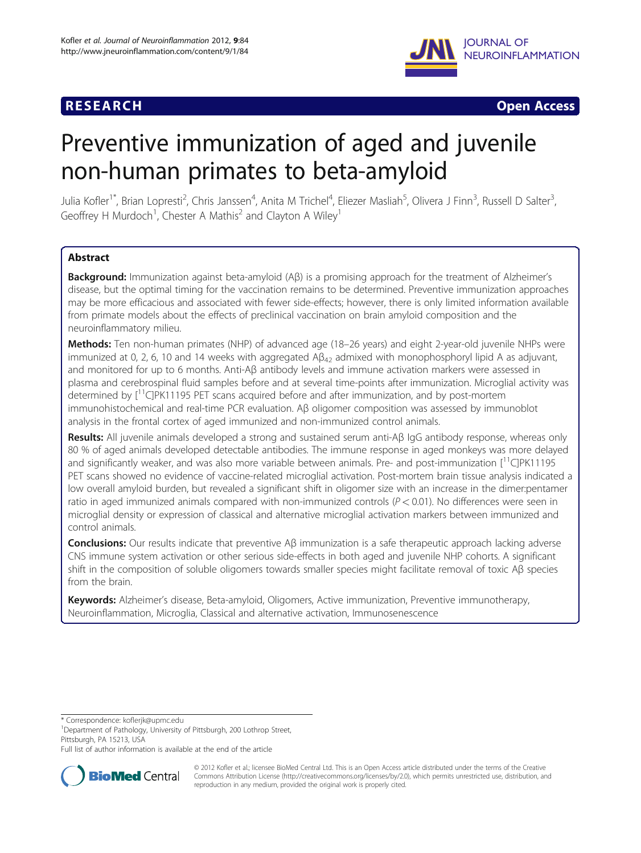# **RESEARCH CONSIDERING ACCESS**



# Preventive immunization of aged and juvenile non-human primates to beta-amyloid

Julia Kofler<sup>1\*</sup>, Brian Lopresti<sup>2</sup>, Chris Janssen<sup>4</sup>, Anita M Trichel<sup>4</sup>, Eliezer Masliah<sup>5</sup>, Olivera J Finn<sup>3</sup>, Russell D Salter<sup>3</sup> , Geoffrey H Murdoch<sup>1</sup>, Chester A Mathis<sup>2</sup> and Clayton A Wiley<sup>1</sup>

# Abstract

Background: Immunization against beta-amyloid (Aβ) is a promising approach for the treatment of Alzheimer's disease, but the optimal timing for the vaccination remains to be determined. Preventive immunization approaches may be more efficacious and associated with fewer side-effects; however, there is only limited information available from primate models about the effects of preclinical vaccination on brain amyloid composition and the neuroinflammatory milieu.

Methods: Ten non-human primates (NHP) of advanced age (18–26 years) and eight 2-year-old juvenile NHPs were immunized at 0, 2, 6, 10 and 14 weeks with aggregated  $AB_{42}$  admixed with monophosphoryl lipid A as adjuvant, and monitored for up to 6 months. Anti-Aβ antibody levels and immune activation markers were assessed in plasma and cerebrospinal fluid samples before and at several time-points after immunization. Microglial activity was determined by [<sup>11</sup>C]PK11195 PET scans acquired before and after immunization, and by post-mortem immunohistochemical and real-time PCR evaluation. Aβ oligomer composition was assessed by immunoblot analysis in the frontal cortex of aged immunized and non-immunized control animals.

Results: All juvenile animals developed a strong and sustained serum anti-Aβ IgG antibody response, whereas only 80 % of aged animals developed detectable antibodies. The immune response in aged monkeys was more delayed and significantly weaker, and was also more variable between animals. Pre- and post-immunization  $\int_1^1$ C|PK11195 PET scans showed no evidence of vaccine-related microglial activation. Post-mortem brain tissue analysis indicated a low overall amyloid burden, but revealed a significant shift in oligomer size with an increase in the dimer:pentamer ratio in aged immunized animals compared with non-immunized controls ( $P < 0.01$ ). No differences were seen in microglial density or expression of classical and alternative microglial activation markers between immunized and control animals.

Conclusions: Our results indicate that preventive Aβ immunization is a safe therapeutic approach lacking adverse CNS immune system activation or other serious side-effects in both aged and juvenile NHP cohorts. A significant shift in the composition of soluble oligomers towards smaller species might facilitate removal of toxic Aβ species from the brain.

Keywords: Alzheimer's disease, Beta-amyloid, Oligomers, Active immunization, Preventive immunotherapy, Neuroinflammation, Microglia, Classical and alternative activation, Immunosenescence

\* Correspondence: [koflerjk@upmc.edu](mailto:koflerjk@upmc.edu) <sup>1</sup>

<sup>1</sup>Department of Pathology, University of Pittsburgh, 200 Lothrop Street, Pittsburgh, PA 15213, USA

Full list of author information is available at the end of the article



© 2012 Kofler et al.; licensee BioMed Central Ltd. This is an Open Access article distributed under the terms of the Creative Commons Attribution License (http://creativecommons.org/licenses/by/2.0), which permits unrestricted use, distribution, and reproduction in any medium, provided the original work is properly cited.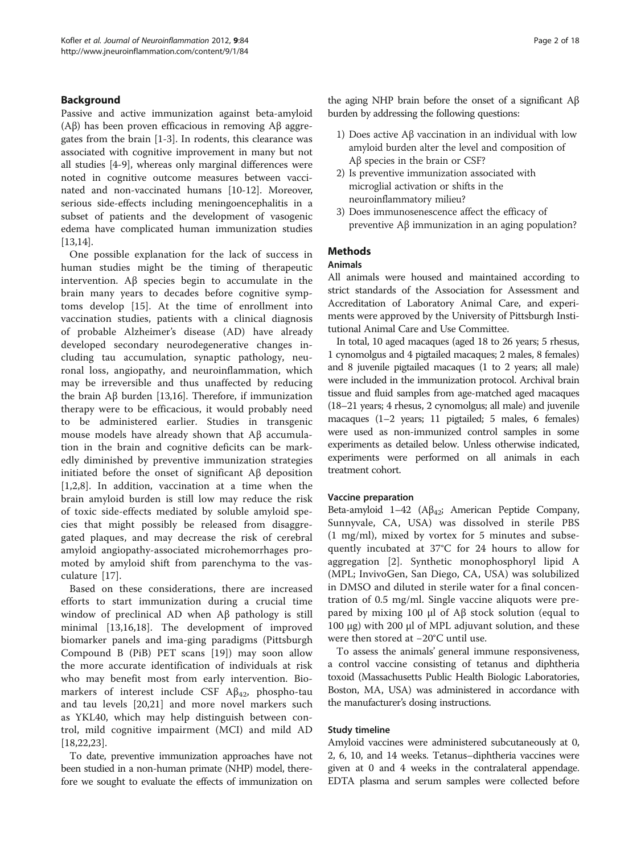# Background

Passive and active immunization against beta-amyloid (Aβ) has been proven efficacious in removing Aβ aggregates from the brain [[1-3\]](#page-15-0). In rodents, this clearance was associated with cognitive improvement in many but not all studies [[4-9](#page-15-0)], whereas only marginal differences were noted in cognitive outcome measures between vaccinated and non-vaccinated humans [\[10-12](#page-15-0)]. Moreover, serious side-effects including meningoencephalitis in a subset of patients and the development of vasogenic edema have complicated human immunization studies [[13,14\]](#page-15-0).

One possible explanation for the lack of success in human studies might be the timing of therapeutic intervention. Aβ species begin to accumulate in the brain many years to decades before cognitive symptoms develop [[15\]](#page-15-0). At the time of enrollment into vaccination studies, patients with a clinical diagnosis of probable Alzheimer's disease (AD) have already developed secondary neurodegenerative changes including tau accumulation, synaptic pathology, neuronal loss, angiopathy, and neuroinflammation, which may be irreversible and thus unaffected by reducing the brain Aβ burden [\[13,16\]](#page-15-0). Therefore, if immunization therapy were to be efficacious, it would probably need to be administered earlier. Studies in transgenic mouse models have already shown that Aβ accumulation in the brain and cognitive deficits can be markedly diminished by preventive immunization strategies initiated before the onset of significant Aβ deposition [[1,2,8](#page-15-0)]. In addition, vaccination at a time when the brain amyloid burden is still low may reduce the risk of toxic side-effects mediated by soluble amyloid species that might possibly be released from disaggregated plaques, and may decrease the risk of cerebral amyloid angiopathy-associated microhemorrhages promoted by amyloid shift from parenchyma to the vasculature [[17\]](#page-15-0).

Based on these considerations, there are increased efforts to start immunization during a crucial time window of preclinical AD when Aβ pathology is still minimal [\[13,16,18](#page-15-0)]. The development of improved biomarker panels and ima-ging paradigms (Pittsburgh Compound B (PiB) PET scans [\[19](#page-15-0)]) may soon allow the more accurate identification of individuals at risk who may benefit most from early intervention. Biomarkers of interest include CSF  $A\beta_{42}$ , phospho-tau and tau levels [[20,21](#page-15-0)] and more novel markers such as YKL40, which may help distinguish between control, mild cognitive impairment (MCI) and mild AD [[18,22,23](#page-15-0)].

To date, preventive immunization approaches have not been studied in a non-human primate (NHP) model, therefore we sought to evaluate the effects of immunization on the aging NHP brain before the onset of a significant Aβ burden by addressing the following questions:

- 1) Does active Aβ vaccination in an individual with low amyloid burden alter the level and composition of Aβ species in the brain or CSF?
- 2) Is preventive immunization associated with microglial activation or shifts in the neuroinflammatory milieu?
- 3) Does immunosenescence affect the efficacy of preventive Aβ immunization in an aging population?

# Methods

# Animals

All animals were housed and maintained according to strict standards of the Association for Assessment and Accreditation of Laboratory Animal Care, and experiments were approved by the University of Pittsburgh Institutional Animal Care and Use Committee.

In total, 10 aged macaques (aged 18 to 26 years; 5 rhesus, 1 cynomolgus and 4 pigtailed macaques; 2 males, 8 females) and 8 juvenile pigtailed macaques (1 to 2 years; all male) were included in the immunization protocol. Archival brain tissue and fluid samples from age-matched aged macaques (18–21 years; 4 rhesus, 2 cynomolgus; all male) and juvenile macaques (1–2 years; 11 pigtailed; 5 males, 6 females) were used as non-immunized control samples in some experiments as detailed below. Unless otherwise indicated, experiments were performed on all animals in each treatment cohort.

### Vaccine preparation

Beta-amyloid 1–42 ( $\mathbf{A}\beta_{42}$ ; American Peptide Company, Sunnyvale, CA, USA) was dissolved in sterile PBS (1 mg/ml), mixed by vortex for 5 minutes and subsequently incubated at 37°C for 24 hours to allow for aggregation [[2\]](#page-15-0). Synthetic monophosphoryl lipid A (MPL; InvivoGen, San Diego, CA, USA) was solubilized in DMSO and diluted in sterile water for a final concentration of 0.5 mg/ml. Single vaccine aliquots were prepared by mixing 100 μl of Aβ stock solution (equal to 100 μg) with 200 μl of MPL adjuvant solution, and these were then stored at −20°C until use.

To assess the animals' general immune responsiveness, a control vaccine consisting of tetanus and diphtheria toxoid (Massachusetts Public Health Biologic Laboratories, Boston, MA, USA) was administered in accordance with the manufacturer's dosing instructions.

### Study timeline

Amyloid vaccines were administered subcutaneously at 0, 2, 6, 10, and 14 weeks. Tetanus–diphtheria vaccines were given at 0 and 4 weeks in the contralateral appendage. EDTA plasma and serum samples were collected before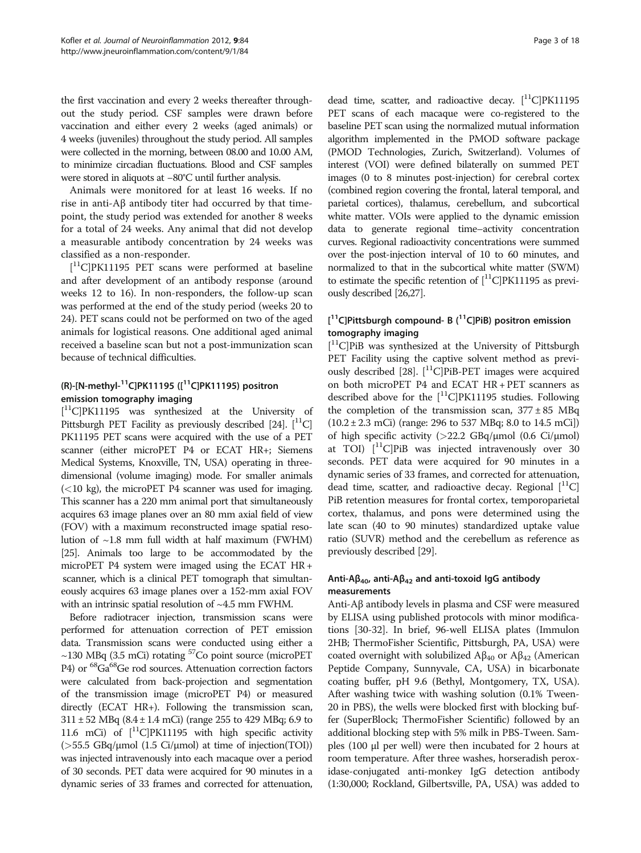the first vaccination and every 2 weeks thereafter throughout the study period. CSF samples were drawn before vaccination and either every 2 weeks (aged animals) or 4 weeks (juveniles) throughout the study period. All samples were collected in the morning, between 08.00 and 10.00 AM, to minimize circadian fluctuations. Blood and CSF samples were stored in aliquots at −80°C until further analysis.

Animals were monitored for at least 16 weeks. If no rise in anti-Aβ antibody titer had occurred by that timepoint, the study period was extended for another 8 weeks for a total of 24 weeks. Any animal that did not develop a measurable antibody concentration by 24 weeks was classified as a non-responder.

[ 11C]PK11195 PET scans were performed at baseline and after development of an antibody response (around weeks 12 to 16). In non-responders, the follow-up scan was performed at the end of the study period (weeks 20 to 24). PET scans could not be performed on two of the aged animals for logistical reasons. One additional aged animal received a baseline scan but not a post-immunization scan because of technical difficulties.

# (R)-[N-methyl-<sup>11</sup>C]PK11195 ([<sup>11</sup>C]PK11195) positron emission tomography imaging

[ 11C]PK11195 was synthesized at the University of Pittsburgh PET Facility as previously described [[24](#page-15-0)].  $\left[ {}^{11}C \right]$ PK11195 PET scans were acquired with the use of a PET scanner (either microPET P4 or ECAT HR+; Siemens Medical Systems, Knoxville, TN, USA) operating in threedimensional (volume imaging) mode. For smaller animals  $(<$ 10 kg), the microPET P4 scanner was used for imaging. This scanner has a 220 mm animal port that simultaneously acquires 63 image planes over an 80 mm axial field of view (FOV) with a maximum reconstructed image spatial resolution of  $\sim$ 1.8 mm full width at half maximum (FWHM) [[25](#page-15-0)]. Animals too large to be accommodated by the microPET P4 system were imaged using the ECAT HR + scanner, which is a clinical PET tomograph that simultaneously acquires 63 image planes over a 152-mm axial FOV with an intrinsic spatial resolution of ~4.5 mm FWHM.

Before radiotracer injection, transmission scans were performed for attenuation correction of PET emission data. Transmission scans were conducted using either a  $\sim$ 130 MBq (3.5 mCi) rotating <sup>57</sup>Co point source (microPET P4) or <sup>68</sup>Ga<sup>68</sup>Ge rod sources. Attenuation correction factors were calculated from back-projection and segmentation of the transmission image (microPET P4) or measured directly (ECAT HR+). Following the transmission scan, 311 ± 52 MBq (8.4 ± 1.4 mCi) (range 255 to 429 MBq; 6.9 to 11.6 mCi) of  $[^{11}C]$ PK11195 with high specific activity (>55.5 GBq/μmol (1.5 Ci/μmol) at time of injection(TOI)) was injected intravenously into each macaque over a period of 30 seconds. PET data were acquired for 90 minutes in a dynamic series of 33 frames and corrected for attenuation,

dead time, scatter, and radioactive decay.  $[{}^{11}C]PK11195$ PET scans of each macaque were co-registered to the baseline PET scan using the normalized mutual information algorithm implemented in the PMOD software package (PMOD Technologies, Zurich, Switzerland). Volumes of interest (VOI) were defined bilaterally on summed PET images (0 to 8 minutes post-injection) for cerebral cortex (combined region covering the frontal, lateral temporal, and parietal cortices), thalamus, cerebellum, and subcortical white matter. VOIs were applied to the dynamic emission data to generate regional time–activity concentration curves. Regional radioactivity concentrations were summed over the post-injection interval of 10 to 60 minutes, and normalized to that in the subcortical white matter (SWM) to estimate the specific retention of  $\binom{11}{1}$ PK11195 as previously described [[26,27](#page-15-0)].

# [<sup>11</sup>C]Pittsburgh compound- B (<sup>11</sup>C]PiB) positron emission tomography imaging

[ 11C]PiB was synthesized at the University of Pittsburgh PET Facility using the captive solvent method as previ-ously described [[28](#page-15-0)].  $\left[ {}^{11}C|PiB-PET \right]$  images were acquired on both microPET P4 and ECAT HR + PET scanners as described above for the  $[$ <sup>11</sup>C]PK11195 studies. Following the completion of the transmission scan,  $377 \pm 85$  MBq  $(10.2 \pm 2.3 \text{ mCi})$  (range: 296 to 537 MBq; 8.0 to 14.5 mCi)) of high specific activity (>22.2 GBq/μmol (0.6 Ci/μmol) at TOI)  $[{}^{11}C]P$ iB was injected intravenously over 30 seconds. PET data were acquired for 90 minutes in a dynamic series of 33 frames, and corrected for attenuation, dead time, scatter, and radioactive decay. Regional  $\binom{11}{1}$ PiB retention measures for frontal cortex, temporoparietal cortex, thalamus, and pons were determined using the late scan (40 to 90 minutes) standardized uptake value ratio (SUVR) method and the cerebellum as reference as previously described [\[29\]](#page-15-0).

# Anti-Aβ<sub>40</sub>, anti-Aβ<sub>42</sub> and anti-toxoid IgG antibody measurements

Anti-Aβ antibody levels in plasma and CSF were measured by ELISA using published protocols with minor modifications [[30](#page-15-0)-[32](#page-16-0)]. In brief, 96-well ELISA plates (Immulon 2HB; ThermoFisher Scientific, Pittsburgh, PA, USA) were coated overnight with solubilized  $Aβ_{40}$  or  $Aβ_{42}$  (American Peptide Company, Sunnyvale, CA, USA) in bicarbonate coating buffer, pH 9.6 (Bethyl, Montgomery, TX, USA). After washing twice with washing solution (0.1% Tween-20 in PBS), the wells were blocked first with blocking buffer (SuperBlock; ThermoFisher Scientific) followed by an additional blocking step with 5% milk in PBS-Tween. Samples (100 μl per well) were then incubated for 2 hours at room temperature. After three washes, horseradish peroxidase-conjugated anti-monkey IgG detection antibody (1:30,000; Rockland, Gilbertsville, PA, USA) was added to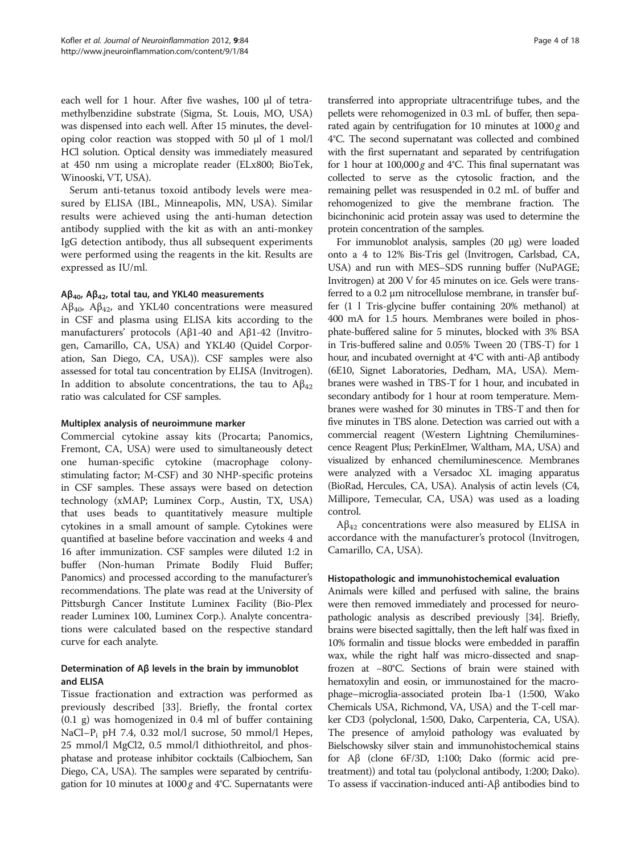each well for 1 hour. After five washes, 100 μl of tetramethylbenzidine substrate (Sigma, St. Louis, MO, USA) was dispensed into each well. After 15 minutes, the developing color reaction was stopped with 50 μl of 1 mol/l HCl solution. Optical density was immediately measured at 450 nm using a microplate reader (ELx800; BioTek, Winooski, VT, USA).

Serum anti-tetanus toxoid antibody levels were measured by ELISA (IBL, Minneapolis, MN, USA). Similar results were achieved using the anti-human detection antibody supplied with the kit as with an anti-monkey IgG detection antibody, thus all subsequent experiments were performed using the reagents in the kit. Results are expressed as IU/ml.

# Aβ<sub>40</sub>, Aβ<sub>42</sub>, total tau, and YKL40 measurements

Aβ<sub>40</sub>, Aβ<sub>42</sub>, and YKL40 concentrations were measured in CSF and plasma using ELISA kits according to the manufacturers' protocols (Aβ1-40 and Aβ1-42 (Invitrogen, Camarillo, CA, USA) and YKL40 (Quidel Corporation, San Diego, CA, USA)). CSF samples were also assessed for total tau concentration by ELISA (Invitrogen). In addition to absolute concentrations, the tau to  $A\beta_{42}$ ratio was calculated for CSF samples.

# Multiplex analysis of neuroimmune marker

Commercial cytokine assay kits (Procarta; Panomics, Fremont, CA, USA) were used to simultaneously detect one human-specific cytokine (macrophage colonystimulating factor; M-CSF) and 30 NHP-specific proteins in CSF samples. These assays were based on detection technology (xMAP; Luminex Corp., Austin, TX, USA) that uses beads to quantitatively measure multiple cytokines in a small amount of sample. Cytokines were quantified at baseline before vaccination and weeks 4 and 16 after immunization. CSF samples were diluted 1:2 in buffer (Non-human Primate Bodily Fluid Buffer; Panomics) and processed according to the manufacturer's recommendations. The plate was read at the University of Pittsburgh Cancer Institute Luminex Facility (Bio-Plex reader Luminex 100, Luminex Corp.). Analyte concentrations were calculated based on the respective standard curve for each analyte.

# Determination of Aβ levels in the brain by immunoblot and ELISA

Tissue fractionation and extraction was performed as previously described [[33\]](#page-16-0). Briefly, the frontal cortex (0.1 g) was homogenized in 0.4 ml of buffer containing NaCl– $P_i$  pH 7.4, 0.32 mol/l sucrose, 50 mmol/l Hepes, 25 mmol/l MgCl2, 0.5 mmol/l dithiothreitol, and phosphatase and protease inhibitor cocktails (Calbiochem, San Diego, CA, USA). The samples were separated by centrifugation for 10 minutes at  $1000 g$  and 4°C. Supernatants were transferred into appropriate ultracentrifuge tubes, and the pellets were rehomogenized in 0.3 mL of buffer, then separated again by centrifugation for 10 minutes at  $1000g$  and 4°C. The second supernatant was collected and combined with the first supernatant and separated by centrifugation for 1 hour at  $100,000$  g and 4°C. This final supernatant was collected to serve as the cytosolic fraction, and the remaining pellet was resuspended in 0.2 mL of buffer and rehomogenized to give the membrane fraction. The bicinchoninic acid protein assay was used to determine the protein concentration of the samples.

For immunoblot analysis, samples (20 μg) were loaded onto a 4 to 12% Bis-Tris gel (Invitrogen, Carlsbad, CA, USA) and run with MES–SDS running buffer (NuPAGE; Invitrogen) at 200 V for 45 minutes on ice. Gels were transferred to a 0.2 μm nitrocellulose membrane, in transfer buffer (1 l Tris-glycine buffer containing 20% methanol) at 400 mA for 1.5 hours. Membranes were boiled in phosphate-buffered saline for 5 minutes, blocked with 3% BSA in Tris-buffered saline and 0.05% Tween 20 (TBS-T) for 1 hour, and incubated overnight at 4°C with anti-Aβ antibody (6E10, Signet Laboratories, Dedham, MA, USA). Membranes were washed in TBS-T for 1 hour, and incubated in secondary antibody for 1 hour at room temperature. Membranes were washed for 30 minutes in TBS-T and then for five minutes in TBS alone. Detection was carried out with a commercial reagent (Western Lightning Chemiluminescence Reagent Plus; PerkinElmer, Waltham, MA, USA) and visualized by enhanced chemiluminescence. Membranes were analyzed with a Versadoc XL imaging apparatus (BioRad, Hercules, CA, USA). Analysis of actin levels (C4, Millipore, Temecular, CA, USA) was used as a loading control.

 $A\beta_{42}$  concentrations were also measured by ELISA in accordance with the manufacturer's protocol (Invitrogen, Camarillo, CA, USA).

# Histopathologic and immunohistochemical evaluation

Animals were killed and perfused with saline, the brains were then removed immediately and processed for neuropathologic analysis as described previously [\[34\]](#page-16-0). Briefly, brains were bisected sagittally, then the left half was fixed in 10% formalin and tissue blocks were embedded in paraffin wax, while the right half was micro-dissected and snapfrozen at −80°C. Sections of brain were stained with hematoxylin and eosin, or immunostained for the macrophage–microglia-associated protein Iba-1 (1:500, Wako Chemicals USA, Richmond, VA, USA) and the T-cell marker CD3 (polyclonal, 1:500, Dako, Carpenteria, CA, USA). The presence of amyloid pathology was evaluated by Bielschowsky silver stain and immunohistochemical stains for Aβ (clone 6F/3D, 1:100; Dako (formic acid pretreatment)) and total tau (polyclonal antibody, 1:200; Dako). To assess if vaccination-induced anti-Aβ antibodies bind to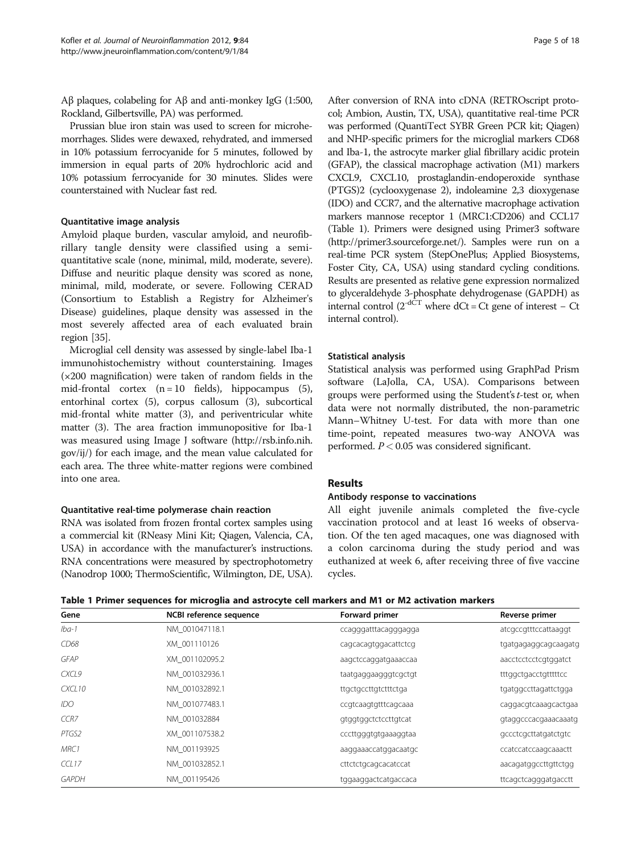Aβ plaques, colabeling for Aβ and anti-monkey IgG (1:500, Rockland, Gilbertsville, PA) was performed.

Prussian blue iron stain was used to screen for microhemorrhages. Slides were dewaxed, rehydrated, and immersed in 10% potassium ferrocyanide for 5 minutes, followed by immersion in equal parts of 20% hydrochloric acid and 10% potassium ferrocyanide for 30 minutes. Slides were counterstained with Nuclear fast red.

# Quantitative image analysis

Amyloid plaque burden, vascular amyloid, and neurofibrillary tangle density were classified using a semiquantitative scale (none, minimal, mild, moderate, severe). Diffuse and neuritic plaque density was scored as none, minimal, mild, moderate, or severe. Following CERAD (Consortium to Establish a Registry for Alzheimer's Disease) guidelines, plaque density was assessed in the most severely affected area of each evaluated brain region [[35](#page-16-0)].

Microglial cell density was assessed by single-label Iba-1 immunohistochemistry without counterstaining. Images (×200 magnification) were taken of random fields in the mid-frontal cortex  $(n = 10$  fields), hippocampus  $(5)$ , entorhinal cortex (5), corpus callosum (3), subcortical mid-frontal white matter (3), and periventricular white matter (3). The area fraction immunopositive for Iba-1 was measured using Image J software [\(http://rsb.info.nih.](http://rsb.info.nih.gov/ij/) [gov/ij/](http://rsb.info.nih.gov/ij/)) for each image, and the mean value calculated for each area. The three white-matter regions were combined into one area.

# Quantitative real-time polymerase chain reaction

RNA was isolated from frozen frontal cortex samples using a commercial kit (RNeasy Mini Kit; Qiagen, Valencia, CA, USA) in accordance with the manufacturer's instructions. RNA concentrations were measured by spectrophotometry (Nanodrop 1000; ThermoScientific, Wilmington, DE, USA).

After conversion of RNA into cDNA (RETROscript protocol; Ambion, Austin, TX, USA), quantitative real-time PCR was performed (QuantiTect SYBR Green PCR kit; Qiagen) and NHP-specific primers for the microglial markers CD68 and Iba-1, the astrocyte marker glial fibrillary acidic protein (GFAP), the classical macrophage activation (M1) markers CXCL9, CXCL10, prostaglandin-endoperoxide synthase (PTGS)2 (cyclooxygenase 2), indoleamine 2,3 dioxygenase (IDO) and CCR7, and the alternative macrophage activation markers mannose receptor 1 (MRC1:CD206) and CCL17 (Table 1). Primers were designed using Primer3 software (<http://primer3.sourceforge.net/>). Samples were run on a real-time PCR system (StepOnePlus; Applied Biosystems, Foster City, CA, USA) using standard cycling conditions. Results are presented as relative gene expression normalized to glyceraldehyde 3-phosphate dehydrogenase (GAPDH) as internal control ( $2^{-dCT}$  where dCt = Ct gene of interest – Ct internal control).

# Statistical analysis

Statistical analysis was performed using GraphPad Prism software (LaJolla, CA, USA). Comparisons between groups were performed using the Student's t-test or, when data were not normally distributed, the non-parametric Mann–Whitney U-test. For data with more than one time-point, repeated measures two-way ANOVA was performed.  $P < 0.05$  was considered significant.

# Results

### Antibody response to vaccinations

All eight juvenile animals completed the five-cycle vaccination protocol and at least 16 weeks of observation. Of the ten aged macaques, one was diagnosed with a colon carcinoma during the study period and was euthanized at week 6, after receiving three of five vaccine cycles.

Table 1 Primer sequences for microglia and astrocyte cell markers and M1 or M2 activation markers

| Gene         | NCBI reference sequence | Forward primer       | Reverse primer       |
|--------------|-------------------------|----------------------|----------------------|
| $Iba-1$      | NM_001047118.1          | ccagggatttacagggagga | atcgccgtttccattaaggt |
| CD68         | XM_001110126            | cagcacagtggacattctcg | tgatgagaggcagcaagatg |
| <b>GFAP</b>  | XM 001102095.2          | aagctccaggatgaaaccaa | aacctcctcctcgtggatct |
| CXCL9        | NM_001032936.1          | taatgaggaagggtcgctgt | tttggctgacctgtttttcc |
| CXCL10       | NM 001032892.1          | ttgctgccttgtctttctga | tgatggccttagattctgga |
| IDO          | NM 001077483.1          | ccgtcaagtgtttcagcaaa | caggacgtcaaagcactgaa |
| CCR7         | NM 001032884            | gtggtggctctccttgtcat | gtaggcccacgaaacaaatg |
| PTGS2        | XM 001107538.2          | cccttgggtgtgaaaggtaa | gccctcgcttatgatctgtc |
| MRC1         | NM_001193925            | aaggaaaccatggacaatgc | ccatccatccaagcaaactt |
| CCL17        | NM 001032852.1          | cttctctgcagcacatccat | aacagatggccttgttctgg |
| <b>GAPDH</b> | NM 001195426            | tggaaggactcatgaccaca | ttcagctcagggatgacctt |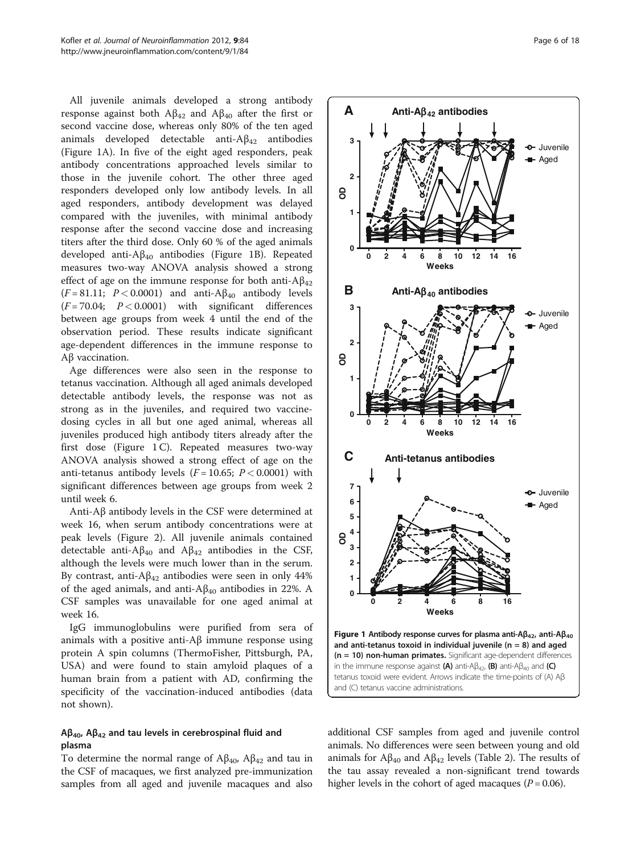All juvenile animals developed a strong antibody response against both  $Aβ_{42}$  and  $Aβ_{40}$  after the first or second vaccine dose, whereas only 80% of the ten aged animals developed detectable anti- $A\beta_{42}$  antibodies (Figure 1A). In five of the eight aged responders, peak antibody concentrations approached levels similar to those in the juvenile cohort. The other three aged responders developed only low antibody levels. In all aged responders, antibody development was delayed compared with the juveniles, with minimal antibody response after the second vaccine dose and increasing titers after the third dose. Only 60 % of the aged animals developed anti- $A\beta_{40}$  antibodies (Figure 1B). Repeated measures two-way ANOVA analysis showed a strong effect of age on the immune response for both anti- $A\beta_{42}$  $(F = 81.11; P < 0.0001)$  and anti-A $\beta_{40}$  antibody levels  $(F = 70.04; P < 0.0001)$  with significant differences between age groups from week 4 until the end of the observation period. These results indicate significant age-dependent differences in the immune response to Aβ vaccination.

Age differences were also seen in the response to tetanus vaccination. Although all aged animals developed detectable antibody levels, the response was not as strong as in the juveniles, and required two vaccinedosing cycles in all but one aged animal, whereas all juveniles produced high antibody titers already after the first dose (Figure 1 C). Repeated measures two-way ANOVA analysis showed a strong effect of age on the anti-tetanus antibody levels ( $F = 10.65$ ;  $P < 0.0001$ ) with significant differences between age groups from week 2 until week 6.

Anti-Aβ antibody levels in the CSF were determined at week 16, when serum antibody concentrations were at peak levels (Figure [2](#page-6-0)). All juvenile animals contained detectable anti- $A\beta_{40}$  and  $A\beta_{42}$  antibodies in the CSF, although the levels were much lower than in the serum. By contrast, anti- $Aβ<sub>42</sub>$  antibodies were seen in only 44% of the aged animals, and anti- $A\beta_{40}$  antibodies in 22%. A CSF samples was unavailable for one aged animal at week 16.

IgG immunoglobulins were purified from sera of animals with a positive anti- $Aβ$  immune response using protein A spin columns (ThermoFisher, Pittsburgh, PA, USA) and were found to stain amyloid plaques of a human brain from a patient with AD, confirming the specificity of the vaccination-induced antibodies (data not shown).

# Aβ<sub>40</sub>, Aβ<sub>42</sub> and tau levels in cerebrospinal fluid and plasma

To determine the normal range of  $A\beta_{40}$ ,  $A\beta_{42}$  and tau in the CSF of macaques, we first analyzed pre-immunization samples from all aged and juvenile macaques and also



additional CSF samples from aged and juvenile control animals. No differences were seen between young and old animals for  $A\beta_{40}$  and  $A\beta_{42}$  levels (Table [2\)](#page-7-0). The results of the tau assay revealed a non-significant trend towards higher levels in the cohort of aged macaques ( $P = 0.06$ ).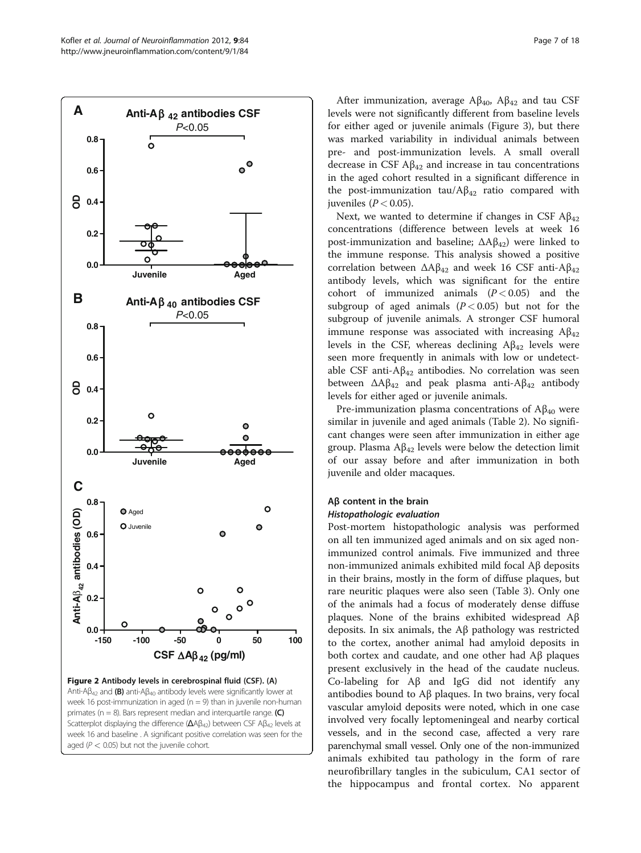<span id="page-6-0"></span>

week 16 post-immunization in aged ( $n = 9$ ) than in juvenile non-human primates ( $n = 8$ ). Bars represent median and interquartile range. (C) Scatterplot displaying the difference (ΔAβ42) between CSF Aβ<sup>42</sup> levels at week 16 and baseline . A significant positive correlation was seen for the aged ( $P < 0.05$ ) but not the juvenile cohort.

After immunization, average  $A\beta_{40}$ ,  $A\beta_{42}$  and tau CSF levels were not significantly different from baseline levels for either aged or juvenile animals (Figure [3](#page-7-0)), but there was marked variability in individual animals between pre- and post-immunization levels. A small overall decrease in CSF  $\mathsf{A}\beta_{42}$  and increase in tau concentrations in the aged cohort resulted in a significant difference in the post-immunization tau/ $A\beta_{42}$  ratio compared with juveniles ( $P < 0.05$ ).

Next, we wanted to determine if changes in CSF  $A\beta_{42}$ concentrations (difference between levels at week 16 post-immunization and baseline;  $ΔAβ<sub>42</sub>$ ) were linked to the immune response. This analysis showed a positive correlation between  $ΔAβ<sub>42</sub>$  and week 16 CSF anti- $Aβ<sub>42</sub>$ antibody levels, which was significant for the entire cohort of immunized animals  $(P < 0.05)$  and the subgroup of aged animals  $(P < 0.05)$  but not for the subgroup of juvenile animals. A stronger CSF humoral immune response was associated with increasing  $A\beta_{42}$ levels in the CSF, whereas declining  $A\beta_{42}$  levels were seen more frequently in animals with low or undetectable CSF anti- $Aβ<sub>42</sub>$  antibodies. No correlation was seen between  $\Delta A \beta_{42}$  and peak plasma anti- $A \beta_{42}$  antibody levels for either aged or juvenile animals.

Pre-immunization plasma concentrations of  $A\beta_{40}$  were similar in juvenile and aged animals (Table [2](#page-7-0)). No significant changes were seen after immunization in either age group. Plasma  $A\beta_{42}$  levels were below the detection limit of our assay before and after immunization in both juvenile and older macaques.

# Aβ content in the brain Histopathologic evaluation

Post-mortem histopathologic analysis was performed on all ten immunized aged animals and on six aged nonimmunized control animals. Five immunized and three non-immunized animals exhibited mild focal Aβ deposits in their brains, mostly in the form of diffuse plaques, but rare neuritic plaques were also seen (Table [3](#page-8-0)). Only one of the animals had a focus of moderately dense diffuse plaques. None of the brains exhibited widespread Aβ deposits. In six animals, the Aβ pathology was restricted to the cortex, another animal had amyloid deposits in both cortex and caudate, and one other had Aβ plaques present exclusively in the head of the caudate nucleus. Co-labeling for Aβ and IgG did not identify any antibodies bound to Aβ plaques. In two brains, very focal vascular amyloid deposits were noted, which in one case involved very focally leptomeningeal and nearby cortical vessels, and in the second case, affected a very rare parenchymal small vessel. Only one of the non-immunized animals exhibited tau pathology in the form of rare neurofibrillary tangles in the subiculum, CA1 sector of the hippocampus and frontal cortex. No apparent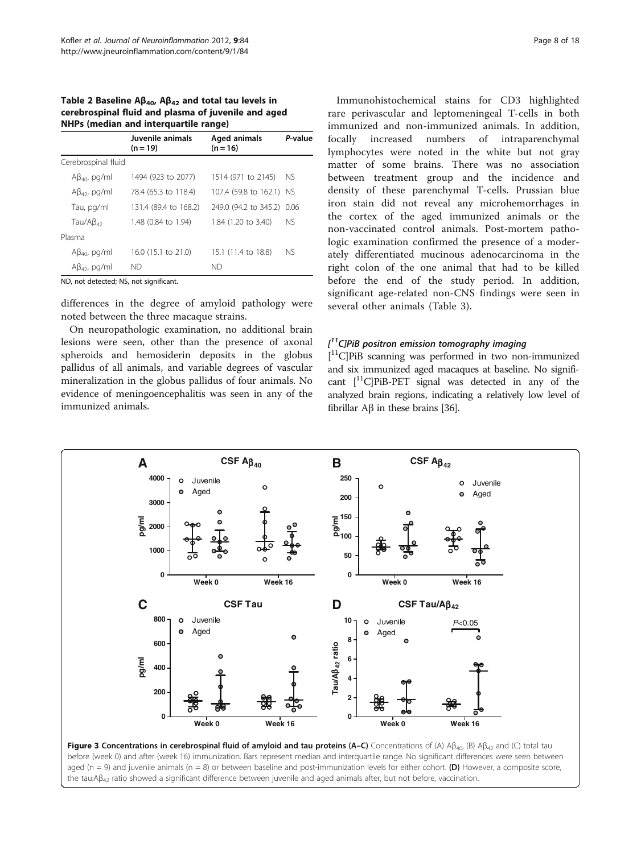<span id="page-7-0"></span>Table 2 Baseline A $\beta_{40}$ , A $\beta_{42}$  and total tau levels in cerebrospinal fluid and plasma of juvenile and aged NHPs (median and interquartile range)

|                     | Juvenile animals      | <b>Aged animals</b>        | P-value   |  |
|---------------------|-----------------------|----------------------------|-----------|--|
|                     | $(n = 19)$            | $(n = 16)$                 |           |  |
| Cerebrospinal fluid |                       |                            |           |  |
| $AB_{40}$ , pg/ml   | 1494 (923 to 2077)    | 1514 (971 to 2145)         | <b>NS</b> |  |
| $AB_{42}$ , pg/ml   | 78.4 (65.3 to 118.4)  | 107.4 (59.8 to 162.1) NS   |           |  |
| Tau, pg/ml          | 131.4 (89.4 to 168.2) | 249.0 (94.2 to 345.2) 0.06 |           |  |
| Tau/A $\beta_{42}$  | 1.48 (0.84 to 1.94)   | 1.84 (1.20 to 3.40)        | <b>NS</b> |  |
| Plasma              |                       |                            |           |  |
| $AB_{40}$ , pg/ml   | 16.0 (15.1 to 21.0)   | 15.1 (11.4 to 18.8)        | <b>NS</b> |  |
| $AB_{42}$ , pg/ml   | ND.                   | <b>ND</b>                  |           |  |
|                     |                       |                            |           |  |

ND, not detected; NS, not significant.

differences in the degree of amyloid pathology were noted between the three macaque strains.

On neuropathologic examination, no additional brain lesions were seen, other than the presence of axonal spheroids and hemosiderin deposits in the globus pallidus of all animals, and variable degrees of vascular mineralization in the globus pallidus of four animals. No evidence of meningoencephalitis was seen in any of the immunized animals.

Immunohistochemical stains for CD3 highlighted rare perivascular and leptomeningeal T-cells in both immunized and non-immunized animals. In addition, focally increased numbers of intraparenchymal lymphocytes were noted in the white but not gray matter of some brains. There was no association between treatment group and the incidence and density of these parenchymal T-cells. Prussian blue iron stain did not reveal any microhemorrhages in the cortex of the aged immunized animals or the non-vaccinated control animals. Post-mortem pathologic examination confirmed the presence of a moderately differentiated mucinous adenocarcinoma in the right colon of the one animal that had to be killed before the end of the study period. In addition, significant age-related non-CNS findings were seen in several other animals (Table [3](#page-8-0)).

# [<sup>11</sup>C]PiB positron emission tomography imaging

[ 11C]PiB scanning was performed in two non-immunized and six immunized aged macaques at baseline. No significant  $\vert^{11}$ C]PiB-PET signal was detected in any of the analyzed brain regions, indicating a relatively low level of fibrillar Aβ in these brains [\[36](#page-16-0)].



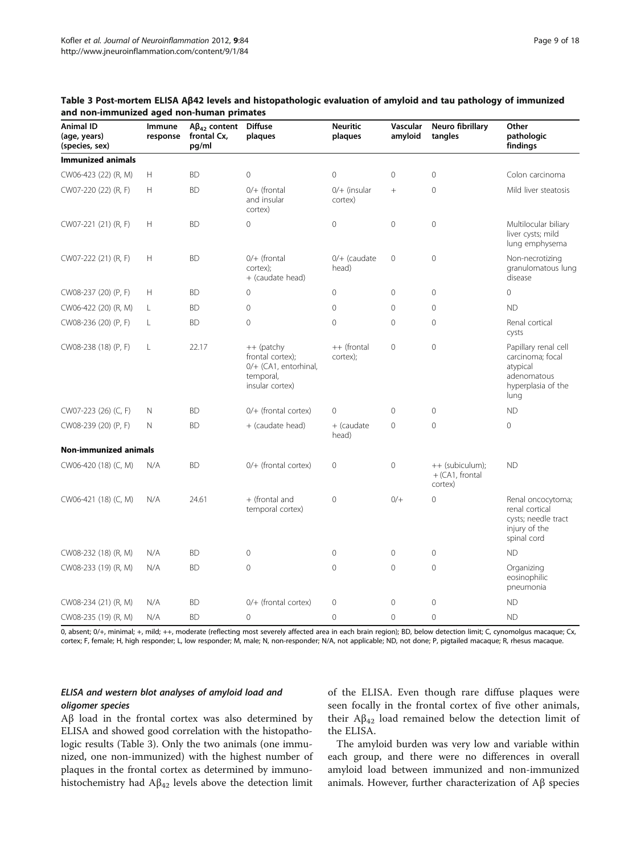| and non-mimamzed aged non-numan primat<br><b>Animal ID</b><br>(age, years)<br>(species, sex) | Immune<br>response | $A\beta_{42}$ content<br>frontal Cx,<br>pg/ml | <b>Diffuse</b><br>plaques                                                               | <b>Neuritic</b><br>plaques | Vascular<br>amyloid | Neuro fibrillary<br>tangles                   | Other<br>pathologic<br>findings                                                                   |
|----------------------------------------------------------------------------------------------|--------------------|-----------------------------------------------|-----------------------------------------------------------------------------------------|----------------------------|---------------------|-----------------------------------------------|---------------------------------------------------------------------------------------------------|
| <b>Immunized animals</b>                                                                     |                    |                                               |                                                                                         |                            |                     |                                               |                                                                                                   |
| CW06-423 (22) (R, M)                                                                         | Н                  | <b>BD</b>                                     | $\overline{0}$                                                                          | $\overline{0}$             | $\Omega$            | $\overline{0}$                                | Colon carcinoma                                                                                   |
| CW07-220 (22) (R, F)                                                                         | H                  | <b>BD</b>                                     | 0/+ (frontal<br>and insular<br>cortex)                                                  | 0/+ (insular<br>cortex)    | $+$                 | $\overline{O}$                                | Mild liver steatosis                                                                              |
| CW07-221 (21) (R, F)                                                                         | H                  | <b>BD</b>                                     | $\overline{0}$                                                                          | $\overline{O}$             | $\Omega$            | $\overline{0}$                                | Multilocular biliary<br>liver cysts; mild<br>lung emphysema                                       |
| CW07-222 (21) (R, F)                                                                         | H                  | <b>BD</b>                                     | $0/+$ (frontal<br>cortex);<br>+ (caudate head)                                          | $0/+$ (caudate<br>head)    | $\Omega$            | $\overline{0}$                                | Non-necrotizing<br>granulomatous lung<br>disease                                                  |
| CW08-237 (20) (P, F)                                                                         | Н                  | <b>BD</b>                                     | 0                                                                                       | $\Omega$                   | $\Omega$            | 0                                             | 0                                                                                                 |
| CW06-422 (20) (R, M)                                                                         | L                  | <b>BD</b>                                     | 0                                                                                       | 0                          | $\mathbf{0}$        | 0                                             | <b>ND</b>                                                                                         |
| CW08-236 (20) (P, F)                                                                         | L                  | <b>BD</b>                                     | $\overline{0}$                                                                          | $\Omega$                   | $\Omega$            | $\mathbf{0}$                                  | Renal cortical<br>cysts                                                                           |
| CW08-238 (18) (P, F)                                                                         | L                  | 22.17                                         | ++ (patchy<br>frontal cortex);<br>0/+ (CA1, entorhinal,<br>temporal,<br>insular cortex) | ++ (frontal<br>cortex);    | $\mathbf{0}$        | 0                                             | Papillary renal cell<br>carcinoma; focal<br>atypical<br>adenomatous<br>hyperplasia of the<br>lung |
| CW07-223 (26) (C, F)                                                                         | N                  | <b>BD</b>                                     | 0/+ (frontal cortex)                                                                    | 0                          | $\mathbf{0}$        | $\mathbf{0}$                                  | <b>ND</b>                                                                                         |
| CW08-239 (20) (P, F)                                                                         | N                  | <b>BD</b>                                     | + (caudate head)                                                                        | + (caudate<br>head)        | $\Omega$            | $\overline{0}$                                | $\overline{0}$                                                                                    |
| <b>Non-immunized animals</b>                                                                 |                    |                                               |                                                                                         |                            |                     |                                               |                                                                                                   |
| CW06-420 (18) (C, M)                                                                         | N/A                | <b>BD</b>                                     | 0/+ (frontal cortex)                                                                    | $\circ$                    | $\mathbf{0}$        | ++ (subiculum);<br>+ (CA1, frontal<br>cortex) | <b>ND</b>                                                                                         |
| CW06-421 (18) (C, M)                                                                         | N/A                | 24.61                                         | + (frontal and<br>temporal cortex)                                                      | $\mathbf 0$                | $0/+$               | $\overline{0}$                                | Renal oncocytoma;<br>renal cortical<br>cysts; needle tract<br>injury of the<br>spinal cord        |
| CW08-232 (18) (R, M)                                                                         | N/A                | <b>BD</b>                                     | $\overline{0}$                                                                          | $\circ$                    | $\mathbf{0}$        | $\mathbf{0}$                                  | <b>ND</b>                                                                                         |
| CW08-233 (19) (R, M)                                                                         | N/A                | <b>BD</b>                                     | 0                                                                                       | 0                          | $\mathbf{0}$        | 0                                             | Organizing<br>eosinophilic<br>pneumonia                                                           |
| CW08-234 (21) (R, M)                                                                         | N/A                | <b>BD</b>                                     | 0/+ (frontal cortex)                                                                    | $\circ$                    | $\mathbf{0}$        | $\mathbf{0}$                                  | <b>ND</b>                                                                                         |
| CW08-235 (19) (R, M)                                                                         | N/A                | <b>BD</b>                                     | 0                                                                                       | $\overline{O}$             | $\overline{0}$      | $\overline{0}$                                | <b>ND</b>                                                                                         |

### <span id="page-8-0"></span>Table 3 Post-mortem ELISA Aβ42 levels and histopathologic evaluation of amyloid and tau pathology of immunized and non-immunized aged non-human primates

0, absent; 0/+, minimal; +, mild; ++, moderate (reflecting most severely affected area in each brain region); BD, below detection limit; C, cynomolgus macaque; Cx, cortex; F, female; H, high responder; L, low responder; M, male; N, non-responder; N/A, not applicable; ND, not done; P, pigtailed macaque; R, rhesus macaque.

# ELISA and western blot analyses of amyloid load and oligomer species

Aβ load in the frontal cortex was also determined by ELISA and showed good correlation with the histopathologic results (Table 3). Only the two animals (one immunized, one non-immunized) with the highest number of plaques in the frontal cortex as determined by immunohistochemistry had  $A\beta_{42}$  levels above the detection limit

of the ELISA. Even though rare diffuse plaques were seen focally in the frontal cortex of five other animals, their  $A\beta_{42}$  load remained below the detection limit of the ELISA.

The amyloid burden was very low and variable within each group, and there were no differences in overall amyloid load between immunized and non-immunized animals. However, further characterization of Aβ species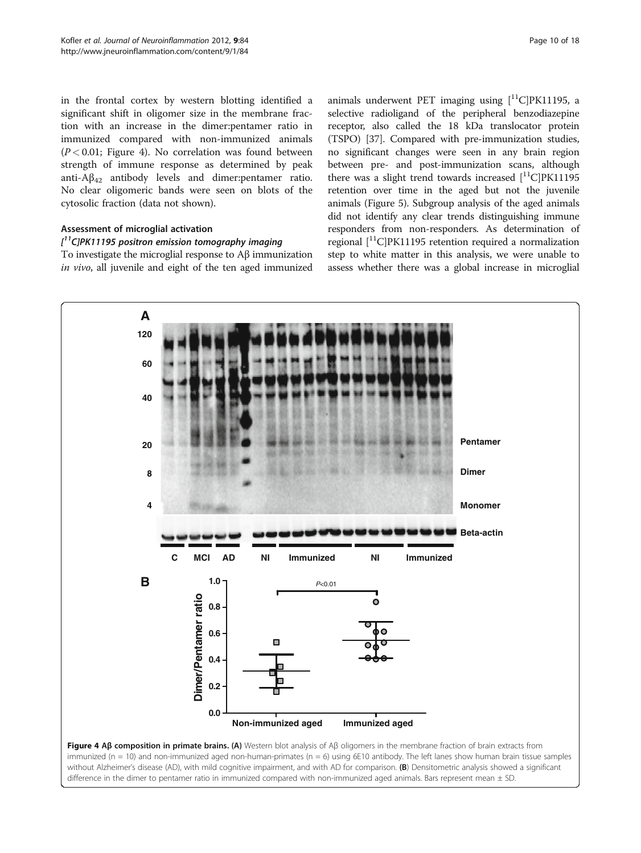in the frontal cortex by western blotting identified a significant shift in oligomer size in the membrane fraction with an increase in the dimer:pentamer ratio in immunized compared with non-immunized animals  $(P < 0.01$ ; Figure 4). No correlation was found between strength of immune response as determined by peak anti- $A\beta_{42}$  antibody levels and dimer: pentamer ratio. No clear oligomeric bands were seen on blots of the cytosolic fraction (data not shown).

# Assessment of microglial activation

# $[11]$ C]PK11195 positron emission tomography imaging

To investigate the microglial response to Aβ immunization in vivo, all juvenile and eight of the ten aged immunized animals underwent PET imaging using  $\int_1^{11}C|PK11195$ , a selective radioligand of the peripheral benzodiazepine receptor, also called the 18 kDa translocator protein (TSPO) [\[37\]](#page-16-0). Compared with pre-immunization studies, no significant changes were seen in any brain region between pre- and post-immunization scans, although there was a slight trend towards increased  $[$ <sup>11</sup>C $]$ PK11195 retention over time in the aged but not the juvenile animals (Figure [5](#page-10-0)). Subgroup analysis of the aged animals did not identify any clear trends distinguishing immune responders from non-responders. As determination of regional  $\binom{11}{1}$ PK11195 retention required a normalization step to white matter in this analysis, we were unable to assess whether there was a global increase in microglial



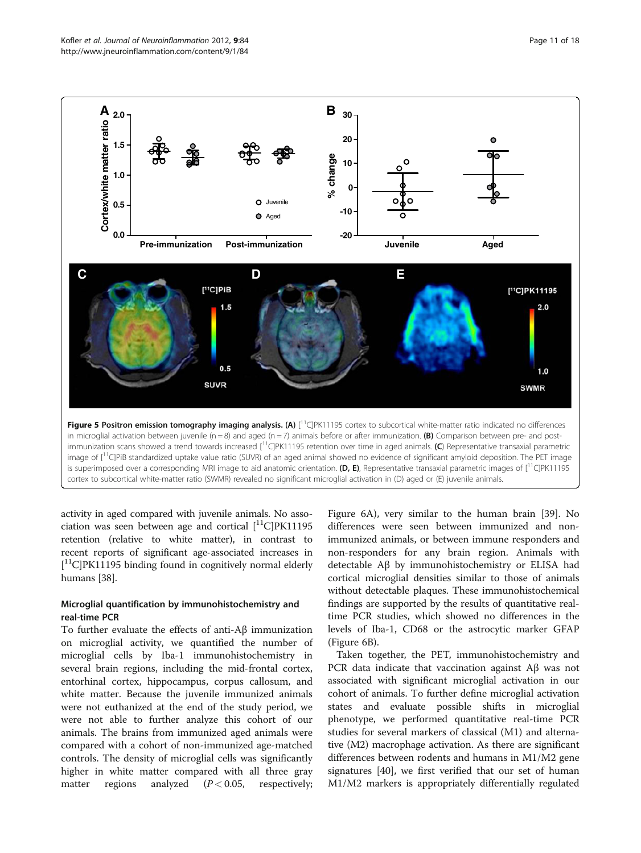<span id="page-10-0"></span>

activity in aged compared with juvenile animals. No association was seen between age and cortical  $[{}^{11}C]$ PK11195 retention (relative to white matter), in contrast to recent reports of significant age-associated increases in [<sup>11</sup>C]PK11195 binding found in cognitively normal elderly humans [\[38\]](#page-16-0).

# Microglial quantification by immunohistochemistry and real-time PCR

To further evaluate the effects of anti-Aβ immunization on microglial activity, we quantified the number of microglial cells by Iba-1 immunohistochemistry in several brain regions, including the mid-frontal cortex, entorhinal cortex, hippocampus, corpus callosum, and white matter. Because the juvenile immunized animals were not euthanized at the end of the study period, we were not able to further analyze this cohort of our animals. The brains from immunized aged animals were compared with a cohort of non-immunized age-matched controls. The density of microglial cells was significantly higher in white matter compared with all three gray matter regions analyzed  $(P < 0.05$ , respectively;

Figure [6A](#page-11-0)), very similar to the human brain [[39\]](#page-16-0). No differences were seen between immunized and nonimmunized animals, or between immune responders and non-responders for any brain region. Animals with detectable Aβ by immunohistochemistry or ELISA had cortical microglial densities similar to those of animals without detectable plaques. These immunohistochemical findings are supported by the results of quantitative realtime PCR studies, which showed no differences in the levels of Iba-1, CD68 or the astrocytic marker GFAP (Figure [6B](#page-11-0)).

Taken together, the PET, immunohistochemistry and PCR data indicate that vaccination against Aβ was not associated with significant microglial activation in our cohort of animals. To further define microglial activation states and evaluate possible shifts in microglial phenotype, we performed quantitative real-time PCR studies for several markers of classical (M1) and alternative (M2) macrophage activation. As there are significant differences between rodents and humans in M1/M2 gene signatures [\[40](#page-16-0)], we first verified that our set of human M1/M2 markers is appropriately differentially regulated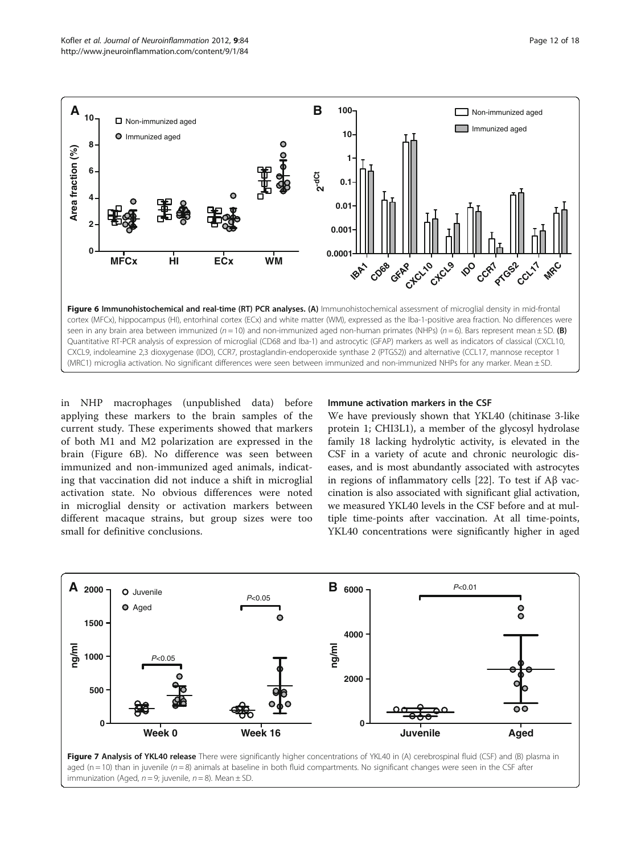<span id="page-11-0"></span>

in NHP macrophages (unpublished data) before applying these markers to the brain samples of the current study. These experiments showed that markers of both M1 and M2 polarization are expressed in the brain (Figure 6B). No difference was seen between immunized and non-immunized aged animals, indicating that vaccination did not induce a shift in microglial activation state. No obvious differences were noted in microglial density or activation markers between different macaque strains, but group sizes were too small for definitive conclusions.

### Immune activation markers in the CSF

We have previously shown that YKL40 (chitinase 3-like protein 1; CHI3L1), a member of the glycosyl hydrolase family 18 lacking hydrolytic activity, is elevated in the CSF in a variety of acute and chronic neurologic diseases, and is most abundantly associated with astrocytes in regions of inflammatory cells [\[22](#page-15-0)]. To test if Aβ vaccination is also associated with significant glial activation, we measured YKL40 levels in the CSF before and at multiple time-points after vaccination. At all time-points, YKL40 concentrations were significantly higher in aged

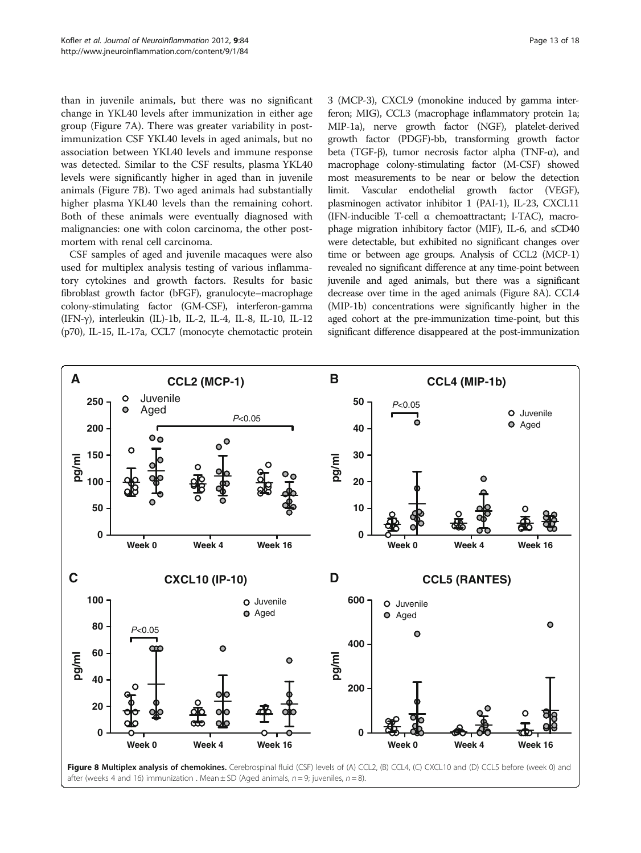<span id="page-12-0"></span>than in juvenile animals, but there was no significant change in YKL40 levels after immunization in either age group (Figure [7A](#page-11-0)). There was greater variability in postimmunization CSF YKL40 levels in aged animals, but no association between YKL40 levels and immune response was detected. Similar to the CSF results, plasma YKL40 levels were significantly higher in aged than in juvenile animals (Figure [7B](#page-11-0)). Two aged animals had substantially higher plasma YKL40 levels than the remaining cohort. Both of these animals were eventually diagnosed with malignancies: one with colon carcinoma, the other postmortem with renal cell carcinoma.

CSF samples of aged and juvenile macaques were also used for multiplex analysis testing of various inflammatory cytokines and growth factors. Results for basic fibroblast growth factor (bFGF), granulocyte–macrophage colony-stimulating factor (GM-CSF), interferon-gamma (IFN-γ), interleukin (IL)-1b, IL-2, IL-4, IL-8, IL-10, IL-12 (p70), IL-15, IL-17a, CCL7 (monocyte chemotactic protein 3 (MCP-3), CXCL9 (monokine induced by gamma interferon; MIG), CCL3 (macrophage inflammatory protein 1a; MIP-1a), nerve growth factor (NGF), platelet-derived growth factor (PDGF)-bb, transforming growth factor beta (TGF-β), tumor necrosis factor alpha (TNF-α), and macrophage colony-stimulating factor (M-CSF) showed most measurements to be near or below the detection limit. Vascular endothelial growth factor (VEGF), plasminogen activator inhibitor 1 (PAI-1), IL-23, CXCL11 (IFN-inducible T-cell α chemoattractant; I-TAC), macrophage migration inhibitory factor (MIF), IL-6, and sCD40 were detectable, but exhibited no significant changes over time or between age groups. Analysis of CCL2 (MCP-1) revealed no significant difference at any time-point between juvenile and aged animals, but there was a significant decrease over time in the aged animals (Figure 8A). CCL4 (MIP-1b) concentrations were significantly higher in the aged cohort at the pre-immunization time-point, but this significant difference disappeared at the post-immunization

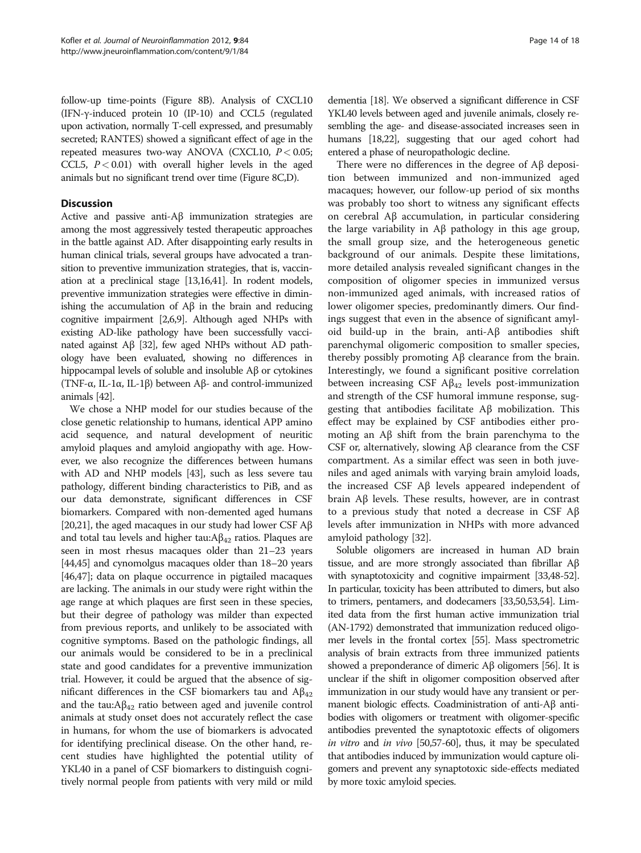follow-up time-points (Figure [8B](#page-12-0)). Analysis of CXCL10 (IFN-γ-induced protein 10 (IP-10) and CCL5 (regulated upon activation, normally T-cell expressed, and presumably secreted; RANTES) showed a significant effect of age in the repeated measures two-way ANOVA (CXCL10,  $P < 0.05$ ; CCL5,  $P < 0.01$ ) with overall higher levels in the aged animals but no significant trend over time (Figure [8C,D\)](#page-12-0).

# **Discussion**

Active and passive anti-Aβ immunization strategies are among the most aggressively tested therapeutic approaches in the battle against AD. After disappointing early results in human clinical trials, several groups have advocated a transition to preventive immunization strategies, that is, vaccination at a preclinical stage [[13,16](#page-15-0)[,41\]](#page-16-0). In rodent models, preventive immunization strategies were effective in diminishing the accumulation of Aβ in the brain and reducing cognitive impairment [\[2,6,9\]](#page-15-0). Although aged NHPs with existing AD-like pathology have been successfully vaccinated against Aβ [\[32\]](#page-16-0), few aged NHPs without AD pathology have been evaluated, showing no differences in hippocampal levels of soluble and insoluble Aβ or cytokines (TNF-α, IL-1α, IL-1β) between Aβ- and control-immunized animals [\[42](#page-16-0)].

We chose a NHP model for our studies because of the close genetic relationship to humans, identical APP amino acid sequence, and natural development of neuritic amyloid plaques and amyloid angiopathy with age. However, we also recognize the differences between humans with AD and NHP models [\[43\]](#page-16-0), such as less severe tau pathology, different binding characteristics to PiB, and as our data demonstrate, significant differences in CSF biomarkers. Compared with non-demented aged humans [[20,21\]](#page-15-0), the aged macaques in our study had lower CSF  $\mathsf{A}\mathsf{B}$ and total tau levels and higher tau: $Aβ<sub>42</sub>$  ratios. Plaques are seen in most rhesus macaques older than 21–23 years [[44,45\]](#page-16-0) and cynomolgus macaques older than 18–20 years [[46,47\]](#page-16-0); data on plaque occurrence in pigtailed macaques are lacking. The animals in our study were right within the age range at which plaques are first seen in these species, but their degree of pathology was milder than expected from previous reports, and unlikely to be associated with cognitive symptoms. Based on the pathologic findings, all our animals would be considered to be in a preclinical state and good candidates for a preventive immunization trial. However, it could be argued that the absence of significant differences in the CSF biomarkers tau and  $Aβ<sub>42</sub>$ and the tau:Aβ<sup>42</sup> ratio between aged and juvenile control animals at study onset does not accurately reflect the case in humans, for whom the use of biomarkers is advocated for identifying preclinical disease. On the other hand, recent studies have highlighted the potential utility of YKL40 in a panel of CSF biomarkers to distinguish cognitively normal people from patients with very mild or mild dementia [\[18](#page-15-0)]. We observed a significant difference in CSF YKL40 levels between aged and juvenile animals, closely resembling the age- and disease-associated increases seen in humans [[18,22](#page-15-0)], suggesting that our aged cohort had entered a phase of neuropathologic decline.

There were no differences in the degree of Aβ deposition between immunized and non-immunized aged macaques; however, our follow-up period of six months was probably too short to witness any significant effects on cerebral Aβ accumulation, in particular considering the large variability in Aβ pathology in this age group, the small group size, and the heterogeneous genetic background of our animals. Despite these limitations, more detailed analysis revealed significant changes in the composition of oligomer species in immunized versus non-immunized aged animals, with increased ratios of lower oligomer species, predominantly dimers. Our findings suggest that even in the absence of significant amyloid build-up in the brain, anti-Aβ antibodies shift parenchymal oligomeric composition to smaller species, thereby possibly promoting Aβ clearance from the brain. Interestingly, we found a significant positive correlation between increasing CSF  $A\beta_{42}$  levels post-immunization and strength of the CSF humoral immune response, suggesting that antibodies facilitate Aβ mobilization. This effect may be explained by CSF antibodies either promoting an Aβ shift from the brain parenchyma to the CSF or, alternatively, slowing Aβ clearance from the CSF compartment. As a similar effect was seen in both juveniles and aged animals with varying brain amyloid loads, the increased CSF Aβ levels appeared independent of brain Aβ levels. These results, however, are in contrast to a previous study that noted a decrease in CSF Aβ levels after immunization in NHPs with more advanced amyloid pathology [[32](#page-16-0)].

Soluble oligomers are increased in human AD brain tissue, and are more strongly associated than fibrillar Aβ with synaptotoxicity and cognitive impairment [\[33,48-52](#page-16-0)]. In particular, toxicity has been attributed to dimers, but also to trimers, pentamers, and dodecamers [[33,50,53,54\]](#page-16-0). Limited data from the first human active immunization trial (AN-1792) demonstrated that immunization reduced oligomer levels in the frontal cortex [\[55\]](#page-16-0). Mass spectrometric analysis of brain extracts from three immunized patients showed a preponderance of dimeric Aβ oligomers [\[56\]](#page-16-0). It is unclear if the shift in oligomer composition observed after immunization in our study would have any transient or permanent biologic effects. Coadministration of anti-Aβ antibodies with oligomers or treatment with oligomer-specific antibodies prevented the synaptotoxic effects of oligomers in vitro and in vivo [\[50,57-60](#page-16-0)], thus, it may be speculated that antibodies induced by immunization would capture oligomers and prevent any synaptotoxic side-effects mediated by more toxic amyloid species.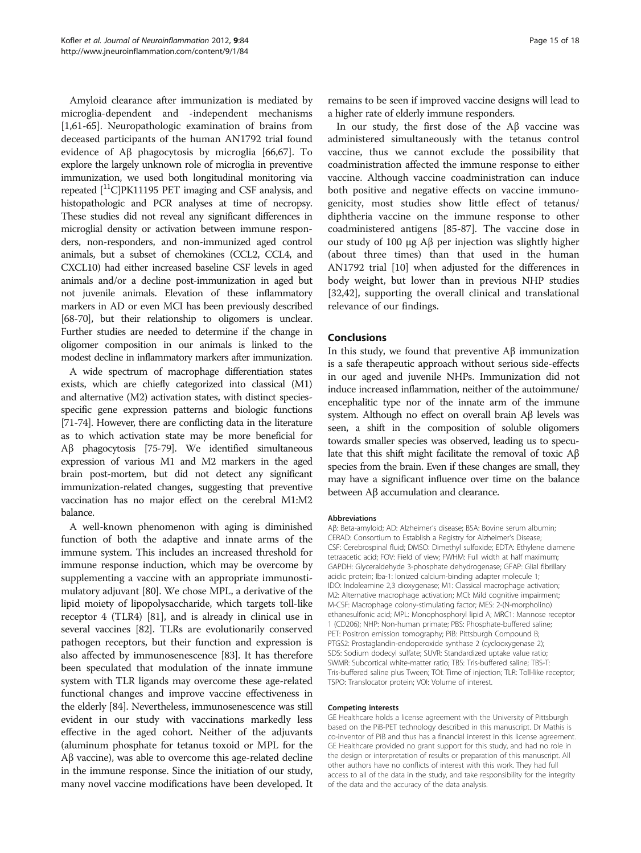Amyloid clearance after immunization is mediated by microglia-dependent and -independent mechanisms [[1,](#page-15-0)[61-65\]](#page-16-0). Neuropathologic examination of brains from deceased participants of the human AN1792 trial found evidence of Aβ phagocytosis by microglia [[66,67](#page-16-0)]. To explore the largely unknown role of microglia in preventive immunization, we used both longitudinal monitoring via repeated  $[$ <sup>11</sup>C]PK11195 PET imaging and CSF analysis, and histopathologic and PCR analyses at time of necropsy. These studies did not reveal any significant differences in microglial density or activation between immune responders, non-responders, and non-immunized aged control animals, but a subset of chemokines (CCL2, CCL4, and CXCL10) had either increased baseline CSF levels in aged animals and/or a decline post-immunization in aged but not juvenile animals. Elevation of these inflammatory markers in AD or even MCI has been previously described [[68-70\]](#page-16-0), but their relationship to oligomers is unclear. Further studies are needed to determine if the change in oligomer composition in our animals is linked to the modest decline in inflammatory markers after immunization.

A wide spectrum of macrophage differentiation states exists, which are chiefly categorized into classical (M1) and alternative (M2) activation states, with distinct speciesspecific gene expression patterns and biologic functions [[71-74\]](#page-17-0). However, there are conflicting data in the literature as to which activation state may be more beneficial for Aβ phagocytosis [\[75-79](#page-17-0)]. We identified simultaneous expression of various M1 and M2 markers in the aged brain post-mortem, but did not detect any significant immunization-related changes, suggesting that preventive vaccination has no major effect on the cerebral M1:M2 balance.

A well-known phenomenon with aging is diminished function of both the adaptive and innate arms of the immune system. This includes an increased threshold for immune response induction, which may be overcome by supplementing a vaccine with an appropriate immunostimulatory adjuvant [\[80\]](#page-17-0). We chose MPL, a derivative of the lipid moiety of lipopolysaccharide, which targets toll-like receptor 4 (TLR4) [[81](#page-17-0)], and is already in clinical use in several vaccines [\[82\]](#page-17-0). TLRs are evolutionarily conserved pathogen receptors, but their function and expression is also affected by immunosenescence [[83](#page-17-0)]. It has therefore been speculated that modulation of the innate immune system with TLR ligands may overcome these age-related functional changes and improve vaccine effectiveness in the elderly [[84](#page-17-0)]. Nevertheless, immunosenescence was still evident in our study with vaccinations markedly less effective in the aged cohort. Neither of the adjuvants (aluminum phosphate for tetanus toxoid or MPL for the Aβ vaccine), was able to overcome this age-related decline in the immune response. Since the initiation of our study, many novel vaccine modifications have been developed. It

remains to be seen if improved vaccine designs will lead to a higher rate of elderly immune responders.

In our study, the first dose of the Aβ vaccine was administered simultaneously with the tetanus control vaccine, thus we cannot exclude the possibility that coadministration affected the immune response to either vaccine. Although vaccine coadministration can induce both positive and negative effects on vaccine immunogenicity, most studies show little effect of tetanus/ diphtheria vaccine on the immune response to other coadministered antigens [\[85-87](#page-17-0)]. The vaccine dose in our study of 100 μg Aβ per injection was slightly higher (about three times) than that used in the human AN1792 trial [\[10\]](#page-15-0) when adjusted for the differences in body weight, but lower than in previous NHP studies [[32,42\]](#page-16-0), supporting the overall clinical and translational relevance of our findings.

# Conclusions

In this study, we found that preventive Aβ immunization is a safe therapeutic approach without serious side-effects in our aged and juvenile NHPs. Immunization did not induce increased inflammation, neither of the autoimmune/ encephalitic type nor of the innate arm of the immune system. Although no effect on overall brain Aβ levels was seen, a shift in the composition of soluble oligomers towards smaller species was observed, leading us to speculate that this shift might facilitate the removal of toxic Aβ species from the brain. Even if these changes are small, they may have a significant influence over time on the balance between Aβ accumulation and clearance.

### Abbreviations

Aβ: Beta-amyloid; AD: Alzheimer's disease; BSA: Bovine serum albumin; CERAD: Consortium to Establish a Registry for Alzheimer's Disease; CSF: Cerebrospinal fluid; DMSO: Dimethyl sulfoxide; EDTA: Ethylene diamene tetraacetic acid; FOV: Field of view; FWHM: Full width at half maximum; GAPDH: Glyceraldehyde 3-phosphate dehydrogenase; GFAP: Glial fibrillary acidic protein; Iba-1: Ionized calcium-binding adapter molecule 1; IDO: Indoleamine 2,3 dioxygenase; M1: Classical macrophage activation; M2: Alternative macrophage activation; MCI: Mild cognitive impairment; M-CSF: Macrophage colony-stimulating factor; MES: 2-(N-morpholino) ethanesulfonic acid; MPL: Monophosphoryl lipid A; MRC1: Mannose receptor 1 (CD206); NHP: Non-human primate; PBS: Phosphate-buffered saline; PET: Positron emission tomography; PiB: Pittsburgh Compound B; PTGS2: Prostaglandin-endoperoxide synthase 2 (cyclooxygenase 2); SDS: Sodium dodecyl sulfate; SUVR: Standardized uptake value ratio; SWMR: Subcortical white-matter ratio; TBS: Tris-buffered saline; TBS-T: Tris-buffered saline plus Tween; TOI: Time of injection; TLR: Toll-like receptor; TSPO: Translocator protein; VOI: Volume of interest.

### Competing interests

GE Healthcare holds a license agreement with the University of Pittsburgh based on the PiB-PET technology described in this manuscript. Dr Mathis is co-inventor of PiB and thus has a financial interest in this license agreement. GE Healthcare provided no grant support for this study, and had no role in the design or interpretation of results or preparation of this manuscript. All other authors have no conflicts of interest with this work. They had full access to all of the data in the study, and take responsibility for the integrity of the data and the accuracy of the data analysis.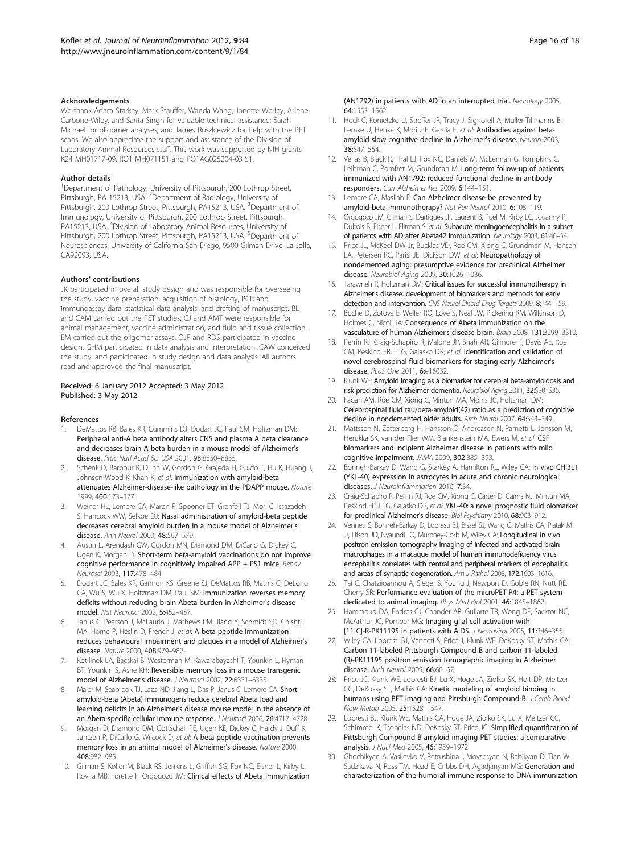### <span id="page-15-0"></span>Acknowledgements

We thank Adam Starkey, Mark Stauffer, Wanda Wang, Jonette Werley, Arlene Carbone-Wiley, and Sarita Singh for valuable technical assistance; Sarah Michael for oligomer analyses; and James Ruszkiewicz for help with the PET scans. We also appreciate the support and assistance of the Division of Laboratory Animal Resources staff. This work was supported by NIH grants K24 MH01717-09, RO1 MH071151 and PO1AG025204-03 S1.

### Author details

<sup>1</sup>Department of Pathology, University of Pittsburgh, 200 Lothrop Street, Pittsburgh, PA 15213, USA. <sup>2</sup>Department of Radiology, University of Pittsburgh, 200 Lothrop Street, Pittsburgh, PA15213, USA. <sup>3</sup>Department of Immunology, University of Pittsburgh, 200 Lothrop Street, Pittsburgh, PA15213, USA. <sup>4</sup>Division of Laboratory Animal Resources, University of Pittsburgh, 200 Lothrop Street, Pittsburgh, PA15213, USA. <sup>5</sup>Department of Neurosciences, University of California San Diego, 9500 Gilman Drive, La Jolla, CA92093, USA.

#### Authors' contributions

JK participated in overall study design and was responsible for overseeing the study, vaccine preparation, acquisition of histology, PCR and immunoassay data, statistical data analysis, and drafting of manuscript. BL and CAM carried out the PET studies. CJ and AMT were responsible for animal management, vaccine administration, and fluid and tissue collection. EM carried out the oligomer assays. OJF and RDS participated in vaccine design. GHM participated in data analysis and interpretation. CAW conceived the study, and participated in study design and data analysis. All authors read and approved the final manuscript.

#### Received: 6 January 2012 Accepted: 3 May 2012 Published: 3 May 2012

#### References

- 1. DeMattos RB, Bales KR, Cummins DJ, Dodart JC, Paul SM, Holtzman DM: Peripheral anti-A beta antibody alters CNS and plasma A beta clearance and decreases brain A beta burden in a mouse model of Alzheimer's disease. Proc Natl Acad Sci USA 2001, 98:8850–8855.
- 2. Schenk D, Barbour R, Dunn W, Gordon G, Grajeda H, Guido T, Hu K, Huang J, Johnson-Wood K, Khan K, et al: Immunization with amyloid-beta attenuates Alzheimer-disease-like pathology in the PDAPP mouse. Nature 1999, 400:173–177.
- 3. Weiner HL, Lemere CA, Maron R, Spooner ET, Grenfell TJ, Mori C, Issazadeh S, Hancock WW, Selkoe DJ: Nasal administration of amyloid-beta peptide decreases cerebral amyloid burden in a mouse model of Alzheimer's disease. Ann Neurol 2000, 48:567–579.
- 4. Austin L, Arendash GW, Gordon MN, Diamond DM, DiCarlo G, Dickey C, Ugen K, Morgan D: Short-term beta-amyloid vaccinations do not improve cognitive performance in cognitively impaired APP + PS1 mice. Behav Neurosci 2003, 117:478–484.
- 5. Dodart JC, Bales KR, Gannon KS, Greene SJ, DeMattos RB, Mathis C, DeLong CA, Wu S, Wu X, Holtzman DM, Paul SM: Immunization reverses memory deficits without reducing brain Abeta burden in Alzheimer's disease model. Nat Neurosci 2002, 5:452–457.
- Janus C, Pearson J, McLaurin J, Mathews PM, Jiang Y, Schmidt SD, Chishti MA, Horne P, Heslin D, French J, et al: A beta peptide immunization reduces behavioural impairment and plaques in a model of Alzheimer's disease. Nature 2000, 408:979–982.
- 7. Kotilinek LA, Bacskai B, Westerman M, Kawarabayashi T, Younkin L, Hyman BT, Younkin S, Ashe KH: Reversible memory loss in a mouse transgenic model of Alzheimer's disease. J Neurosci 2002, 22:6331–6335.
- Maier M, Seabrook TJ, Lazo ND, Jiang L, Das P, Janus C, Lemere CA: Short amyloid-beta (Abeta) immunogens reduce cerebral Abeta load and learning deficits in an Alzheimer's disease mouse model in the absence of an Abeta-specific cellular immune response. J Neurosci 2006, 26:4717–4728.
- 9. Morgan D, Diamond DM, Gottschall PE, Ugen KE, Dickey C, Hardy J, Duff K, Jantzen P, DiCarlo G, Wilcock D, et al: A beta peptide vaccination prevents memory loss in an animal model of Alzheimer's disease. Nature 2000, 408:982–985.
- 10. Gilman S, Koller M, Black RS, Jenkins L, Griffith SG, Fox NC, Eisner L, Kirby L, Rovira MB, Forette F, Orgogozo JM: Clinical effects of Abeta immunization

(AN1792) in patients with AD in an interrupted trial. Neurology 2005, 64:1553–1562.

- 11. Hock C, Konietzko U, Streffer JR, Tracy J, Signorell A, Muller-Tillmanns B, Lemke U, Henke K, Moritz E, Garcia E, et al: Antibodies against betaamyloid slow cognitive decline in Alzheimer's disease. Neuron 2003, 38:547–554.
- 12. Vellas B, Black R, Thal LJ, Fox NC, Daniels M, McLennan G, Tompkins C, Leibman C, Pomfret M, Grundman M: Long-term follow-up of patients immunized with AN1792: reduced functional decline in antibody responders. Curr Alzheimer Res 2009, 6:144–151.
- 13. Lemere CA, Masliah E: Can Alzheimer disease be prevented by amyloid-beta immunotherapy? Nat Rev Neurol 2010, 6:108–119.
- 14. Orgogozo JM, Gilman S, Dartigues JF, Laurent B, Puel M, Kirby LC, Jouanny P, Dubois B, Eisner L, Flitman S, et al: Subacute meningoencephalitis in a subset of patients with AD after Abeta42 immunization. Neurology 2003, 61:46–54.
- 15. Price JL, McKeel DW Jr, Buckles VD, Roe CM, Xiong C, Grundman M, Hansen LA, Petersen RC, Parisi JE, Dickson DW, et al: Neuropathology of nondemented aging: presumptive evidence for preclinical Alzheimer disease. Neurobiol Aging 2009, 30:1026–1036.
- 16. Tarawneh R, Holtzman DM: Critical issues for successful immunotherapy in Alzheimer's disease: development of biomarkers and methods for early detection and intervention. CNS Neurol Disord Drug Targets 2009, 8:144-159.
- 17. Boche D, Zotova E, Weller RO, Love S, Neal JW, Pickering RM, Wilkinson D, Holmes C, Nicoll JA: Consequence of Abeta immunization on the vasculature of human Alzheimer's disease brain. Brain 2008, 131:3299–3310.
- 18. Perrin RJ, Craig-Schapiro R, Malone JP, Shah AR, Gilmore P, Davis AE, Roe CM, Peskind ER, Li G, Galasko DR, et al: Identification and validation of novel cerebrospinal fluid biomarkers for staging early Alzheimer's disease. PLoS One 2011, 6:e16032.
- 19. Klunk WE: Amyloid imaging as a biomarker for cerebral beta-amyloidosis and risk prediction for Alzheimer dementia. Neurobiol Aging 2011, 32:S20–S36.
- 20. Fagan AM, Roe CM, Xiong C, Mintun MA, Morris JC, Holtzman DM: Cerebrospinal fluid tau/beta-amyloid(42) ratio as a prediction of cognitive decline in nondemented older adults. Arch Neurol 2007, 64:343–349.
- 21. Mattsson N, Zetterberg H, Hansson O, Andreasen N, Parnetti L, Jonsson M, Herukka SK, van der Flier WM, Blankenstein MA, Ewers M, et al: CSF biomarkers and incipient Alzheimer disease in patients with mild cognitive impairment. JAMA 2009, 302:385–393.
- 22. Bonneh-Barkay D, Wang G, Starkey A, Hamilton RL, Wiley CA: In vivo CHI3L1 (YKL-40) expression in astrocytes in acute and chronic neurological diseases. J Neuroinflammation 2010, 7:34.
- 23. Craig-Schapiro R, Perrin RJ, Roe CM, Xiong C, Carter D, Cairns NJ, Mintun MA, Peskind ER, Li G, Galasko DR, et al: YKL-40: a novel prognostic fluid biomarker for preclinical Alzheimer's disease. Biol Psychiatry 2010, 68:903–912.
- 24. Venneti S, Bonneh-Barkay D, Lopresti BJ, Bissel SJ, Wang G, Mathis CA, Piatak M Jr, Lifson JD, Nyaundi JO, Murphey-Corb M, Wiley CA: Longitudinal in vivo positron emission tomography imaging of infected and activated brain macrophages in a macaque model of human immunodeficiency virus encephalitis correlates with central and peripheral markers of encephalitis and areas of synaptic degeneration. Am J Pathol 2008, 172:1603–1616.
- 25. Tai C, Chatziioannou A, Siegel S, Young J, Newport D, Goble RN, Nutt RE, Cherry SR: Performance evaluation of the microPET P4: a PET system dedicated to animal imaging. Phys Med Biol 2001, 46:1845–1862.
- 26. Hammoud DA, Endres CJ, Chander AR, Guilarte TR, Wong DF, Sacktor NC, McArthur JC, Pomper MG: Imaging glial cell activation with [11 C]-R-PK11195 in patients with AIDS. *J Neurovirol* 2005, 11:346-355
- 27. Wiley CA, Lopresti BJ, Venneti S, Price J, Klunk WE, DeKosky ST, Mathis CA: Carbon 11-labeled Pittsburgh Compound B and carbon 11-labeled (R)-PK11195 positron emission tomographic imaging in Alzheimer disease. Arch Neurol 2009, 66:60–67.
- 28. Price JC, Klunk WE, Lopresti BJ, Lu X, Hoge JA, Ziolko SK, Holt DP, Meltzer CC, DeKosky ST, Mathis CA: Kinetic modeling of amyloid binding in humans using PET imaging and Pittsburgh Compound-B. J Cereb Blood Flow Metab 2005, 25:1528–1547.
- 29. Lopresti BJ, Klunk WE, Mathis CA, Hoge JA, Ziolko SK, Lu X, Meltzer CC, Schimmel K, Tsopelas ND, DeKosky ST, Price JC: Simplified quantification of Pittsburgh Compound B amyloid imaging PET studies: a comparative analysis. J Nucl Med 2005, 46:1959–1972.
- 30. Ghochikyan A, Vasilevko V, Petrushina I, Movsesyan N, Babikyan D, Tian W, Sadzikava N, Ross TM, Head E, Cribbs DH, Agadjanyan MG: Generation and characterization of the humoral immune response to DNA immunization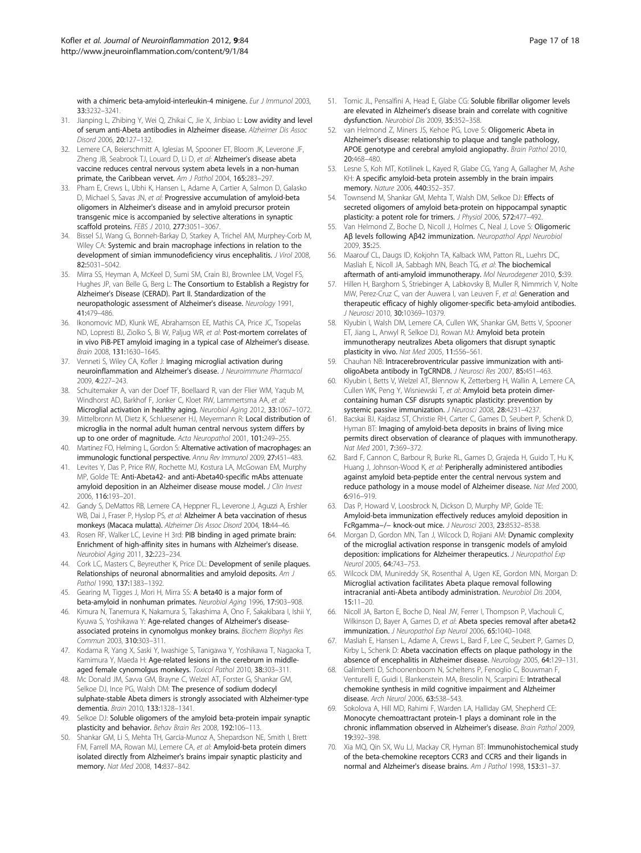<span id="page-16-0"></span>with a chimeric beta-amyloid-interleukin-4 minigene. Eur J Immunol 2003, 33:3232–3241.

- 31. Jianping L, Zhibing Y, Wei Q, Zhikai C, Jie X, Jinbiao L: Low avidity and level of serum anti-Abeta antibodies in Alzheimer disease. Alzheimer Dis Assoc Disord 2006, 20:127–132.
- 32. Lemere CA, Beierschmitt A, Iglesias M, Spooner ET, Bloom JK, Leverone JF, Zheng JB, Seabrook TJ, Louard D, Li D, et al: Alzheimer's disease abeta vaccine reduces central nervous system abeta levels in a non-human primate, the Caribbean vervet. Am J Pathol 2004, 165:283-297.
- 33. Pham E, Crews L, Ubhi K, Hansen L, Adame A, Cartier A, Salmon D, Galasko D, Michael S, Savas JN, et al: Progressive accumulation of amyloid-beta oligomers in Alzheimer's disease and in amyloid precursor protein transgenic mice is accompanied by selective alterations in synaptic scaffold proteins. FEBS J 2010, 277:3051–3067.
- 34. Bissel SJ, Wang G, Bonneh-Barkay D, Starkey A, Trichel AM, Murphey-Corb M, Wiley CA: Systemic and brain macrophage infections in relation to the development of simian immunodeficiency virus encephalitis. J Virol 2008, 82:5031–5042.
- 35. Mirra SS, Heyman A, McKeel D, Sumi SM, Crain BJ, Brownlee LM, Vogel FS, Hughes JP, van Belle G, Berg L: The Consortium to Establish a Registry for Alzheimer's Disease (CERAD). Part II. Standardization of the neuropathologic assessment of Alzheimer's disease. Neurology 1991, 41:479–486.
- 36. Ikonomovic MD, Klunk WE, Abrahamson EE, Mathis CA, Price JC, Tsopelas ND, Lopresti BJ, Ziolko S, Bi W, Paljug WR, et al: Post-mortem correlates of in vivo PiB-PET amyloid imaging in a typical case of Alzheimer's disease. Brain 2008, 131:1630–1645.
- 37. Venneti S, Wiley CA, Kofler J: Imaging microglial activation during neuroinflammation and Alzheimer's disease. J Neuroimmune Pharmacol 2009, 4:227–243.
- 38. Schuitemaker A, van der Doef TF, Boellaard R, van der Flier WM, Yaqub M, Windhorst AD, Barkhof F, Jonker C, Kloet RW, Lammertsma AA, et al: Microglial activation in healthy aging. Neurobiol Aging 2012, 33:1067–1072.
- 39. Mittelbronn M, Dietz K, Schluesener HJ, Meyermann R: Local distribution of microglia in the normal adult human central nervous system differs by up to one order of magnitude. Acta Neuropathol 2001, 101:249–255.
- 40. Martinez FO, Helming L, Gordon S: Alternative activation of macrophages: an immunologic functional perspective. Annu Rev Immunol 2009, 27:451–483.
- 41. Levites Y, Das P, Price RW, Rochette MJ, Kostura LA, McGowan EM, Murphy MP, Golde TE: Anti-Abeta42- and anti-Abeta40-specific mAbs attenuate amyloid deposition in an Alzheimer disease mouse model. J Clin Invest 2006, 116:193–201.
- 42. Gandy S, DeMattos RB, Lemere CA, Heppner FL, Leverone J, Aguzzi A, Ershler WB, Dai J, Fraser P, Hyslop PS, et al: Alzheimer A beta vaccination of rhesus monkeys (Macaca mulatta). Alzheimer Dis Assoc Disord 2004, 18:44–46.
- 43. Rosen RF, Walker LC, Levine H 3rd: PIB binding in aged primate brain: Enrichment of high-affinity sites in humans with Alzheimer's disease. Neurobiol Aging 2011, 32:223–234.
- 44. Cork LC, Masters C, Beyreuther K, Price DL: Development of senile plaques. Relationships of neuronal abnormalities and amyloid deposits. Am J Pathol 1990, 137:1383–1392.
- 45. Gearing M, Tigges J, Mori H, Mirra SS: A beta40 is a major form of beta-amyloid in nonhuman primates. Neurobiol Aging 1996, 17:903–908.
- 46. Kimura N, Tanemura K, Nakamura S, Takashima A, Ono F, Sakakibara I, Ishii Y, Kyuwa S, Yoshikawa Y: Age-related changes of Alzheimer's diseaseassociated proteins in cynomolgus monkey brains. Biochem Biophys Res Commun 2003, 310:303–311.
- 47. Kodama R, Yang X, Saski Y, Iwashige S, Tanigawa Y, Yoshikawa T, Nagaoka T, Kamimura Y, Maeda H: Age-related lesions in the cerebrum in middleaged female cynomolgus monkeys. Toxicol Pathol 2010, 38:303-311
- 48. Mc Donald JM, Savva GM, Brayne C, Welzel AT, Forster G, Shankar GM, Selkoe DJ, Ince PG, Walsh DM: The presence of sodium dodecyl sulphate-stable Abeta dimers is strongly associated with Alzheimer-type dementia. Brain 2010, 133:1328–1341.
- 49. Selkoe DJ: Soluble oligomers of the amyloid beta-protein impair synaptic plasticity and behavior. Behav Brain Res 2008, 192:106–113.
- 50. Shankar GM, Li S, Mehta TH, Garcia-Munoz A, Shepardson NE, Smith I, Brett FM, Farrell MA, Rowan MJ, Lemere CA, et al: Amyloid-beta protein dimers isolated directly from Alzheimer's brains impair synaptic plasticity and memory. Nat Med 2008, 14:837–842.
- 51. Tomic JL, Pensalfini A, Head E, Glabe CG: Soluble fibrillar oligomer levels are elevated in Alzheimer's disease brain and correlate with cognitive dysfunction. Neurobiol Dis 2009, 35:352–358.
- 52. van Helmond Z, Miners JS, Kehoe PG, Love S: Oligomeric Abeta in Alzheimer's disease: relationship to plaque and tangle pathology, APOE genotype and cerebral amyloid angiopathy. Brain Pathol 2010, 20:468–480.
- 53. Lesne S, Koh MT, Kotilinek L, Kayed R, Glabe CG, Yang A, Gallagher M, Ashe KH: A specific amyloid-beta protein assembly in the brain impairs memory. Nature 2006, 440:352–357.
- 54. Townsend M, Shankar GM, Mehta T, Walsh DM, Selkoe DJ: Effects of secreted oligomers of amyloid beta-protein on hippocampal synaptic plasticity: a potent role for trimers. J Physiol 2006, 572:477-492
- Van Helmond Z, Boche D, Nicoll J, Holmes C, Neal J, Love S: Oligomeric Aβ levels following Aβ42 immunization. Neuropathol Appl Neurobiol 2009, 35:25.
- 56. Maarouf CL, Daugs ID, Kokjohn TA, Kalback WM, Patton RL, Luehrs DC, Masliah E, Nicoll JA, Sabbagh MN, Beach TG, et al: The biochemical aftermath of anti-amyloid immunotherapy. Mol Neurodegener 2010, 5:39.
- 57. Hillen H, Barghorn S, Striebinger A, Labkovsky B, Muller R, Nimmrich V, Nolte MW, Perez-Cruz C, van der Auwera I, van Leuven F, et al: Generation and therapeutic efficacy of highly oligomer-specific beta-amyloid antibodies. J Neurosci 2010, 30:10369–10379.
- 58. Klyubin I, Walsh DM, Lemere CA, Cullen WK, Shankar GM, Betts V, Spooner ET, Jiang L, Anwyl R, Selkoe DJ, Rowan MJ: Amyloid beta protein immunotherapy neutralizes Abeta oligomers that disrupt synaptic plasticity in vivo. Nat Med 2005, 11:556–561.
- 59. Chauhan NB: Intracerebroventricular passive immunization with antioligoAbeta antibody in TgCRND8. J Neurosci Res 2007, 85:451–463.
- Klyubin I, Betts V, Welzel AT, Blennow K, Zetterberg H, Wallin A, Lemere CA, Cullen WK, Peng Y, Wisniewski T, et al: Amyloid beta protein dimercontaining human CSF disrupts synaptic plasticity: prevention by systemic passive immunization. J Neurosci 2008, 28:4231-4237.
- 61. Bacskai BJ, Kajdasz ST, Christie RH, Carter C, Games D, Seubert P, Schenk D, Hyman BT: Imaging of amyloid-beta deposits in brains of living mice permits direct observation of clearance of plaques with immunotherapy. Nat Med 2001, 7:369–372.
- 62. Bard F, Cannon C, Barbour R, Burke RL, Games D, Grajeda H, Guido T, Hu K, Huang J, Johnson-Wood K, et al: Peripherally administered antibodies against amyloid beta-peptide enter the central nervous system and reduce pathology in a mouse model of Alzheimer disease. Nat Med 2000, 6:916–919.
- 63. Das P, Howard V, Loosbrock N, Dickson D, Murphy MP, Golde TE: Amyloid-beta immunization effectively reduces amyloid deposition in FcRgamma−/− knock-out mice. J Neurosci 2003, 23:8532–8538.
- Morgan D, Gordon MN, Tan J, Wilcock D, Rojiani AM: Dynamic complexity of the microglial activation response in transgenic models of amyloid deposition: implications for Alzheimer therapeutics. J Neuropathol Exp Neurol 2005, 64:743–753.
- 65. Wilcock DM, Munireddy SK, Rosenthal A, Ugen KE, Gordon MN, Morgan D: Microglial activation facilitates Abeta plaque removal following intracranial anti-Abeta antibody administration. Neurobiol Dis 2004, 15:11–20.
- 66. Nicoll JA, Barton E, Boche D, Neal JW, Ferrer I, Thompson P, Vlachouli C, Wilkinson D, Bayer A, Games D, et al: Abeta species removal after abeta42 immunization. J Neuropathol Exp Neurol 2006, 65:1040–1048.
- 67. Masliah E, Hansen L, Adame A, Crews L, Bard F, Lee C, Seubert P, Games D, Kirby L, Schenk D: Abeta vaccination effects on plaque pathology in the absence of encephalitis in Alzheimer disease. Neurology 2005, 64:129–131.
- Galimberti D, Schoonenboom N, Scheltens P, Fenoglio C, Bouwman F, Venturelli E, Guidi I, Blankenstein MA, Bresolin N, Scarpini E: Intrathecal chemokine synthesis in mild cognitive impairment and Alzheimer disease. Arch Neurol 2006, 63:538–543.
- 69. Sokolova A, Hill MD, Rahimi F, Warden LA, Halliday GM, Shepherd CE: Monocyte chemoattractant protein-1 plays a dominant role in the chronic inflammation observed in Alzheimer's disease. Brain Pathol 2009, 19:392–398.
- 70. Xia MQ, Qin SX, Wu LJ, Mackay CR, Hyman BT: Immunohistochemical study of the beta-chemokine receptors CCR3 and CCR5 and their ligands in normal and Alzheimer's disease brains. Am J Pathol 1998, 153:31-37.